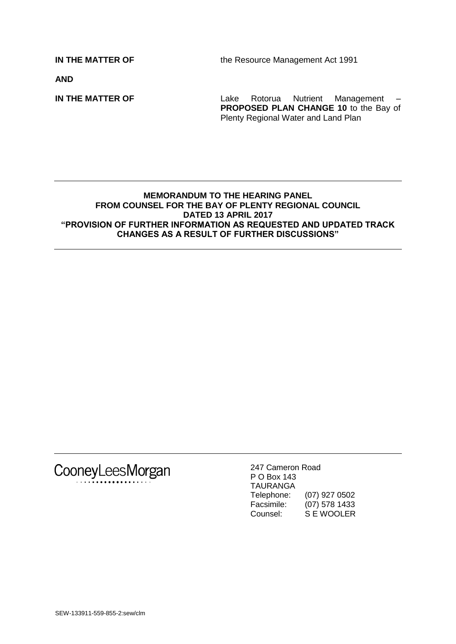**IN THE MATTER OF** the Resource Management Act 1991

**AND**

**IN THE MATTER OF** Lake Rotorua Nutrient Management – **PROPOSED PLAN CHANGE 10** to the Bay of Plenty Regional Water and Land Plan

#### **MEMORANDUM TO THE HEARING PANEL FROM COUNSEL FOR THE BAY OF PLENTY REGIONAL COUNCIL DATED 13 APRIL 2017 "PROVISION OF FURTHER INFORMATION AS REQUESTED AND UPDATED TRACK CHANGES AS A RESULT OF FURTHER DISCUSSIONS"**



247 Cameron Road P O Box 143 TAURANGA Telephone: (07) 927 0502<br>Facsimile: (07) 578 1433 (07) 578 1433 Counsel: S E WOOLER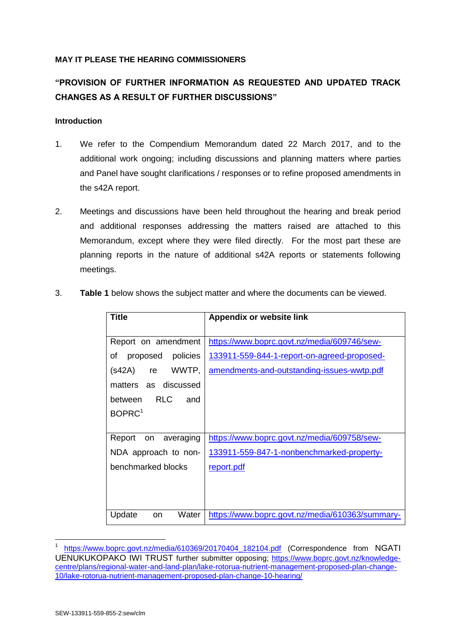## **MAY IT PLEASE THE HEARING COMMISSIONERS**

# **"PROVISION OF FURTHER INFORMATION AS REQUESTED AND UPDATED TRACK CHANGES AS A RESULT OF FURTHER DISCUSSIONS"**

## **Introduction**

- 1. We refer to the Compendium Memorandum dated 22 March 2017, and to the additional work ongoing; including discussions and planning matters where parties and Panel have sought clarifications / responses or to refine proposed amendments in the s42A report.
- 2. Meetings and discussions have been held throughout the hearing and break period and additional responses addressing the matters raised are attached to this Memorandum, except where they were filed directly. For the most part these are planning reports in the nature of additional s42A reports or statements following meetings.

| Title                            | <b>Appendix or website link</b>                 |
|----------------------------------|-------------------------------------------------|
|                                  |                                                 |
| Report on amendment              | https://www.boprc.govt.nz/media/609746/sew-     |
| proposed<br>policies<br>οf       | 133911-559-844-1-report-on-agreed-proposed-     |
| (s42A)<br>WWTP.<br>re            | amendments-and-outstanding-issues-wwtp.pdf      |
| matters as discussed             |                                                 |
| <b>RLC</b><br>between<br>and     |                                                 |
| BOPRC <sup>1</sup>               |                                                 |
|                                  |                                                 |
| Report on<br>averaging           | https://www.boprc.govt.nz/media/609758/sew-     |
| NDA approach to non-             | 133911-559-847-1-nonbenchmarked-property-       |
| benchmarked blocks               | report.pdf                                      |
|                                  |                                                 |
|                                  |                                                 |
| Update<br>Water<br><sub>on</sub> | https://www.boprc.govt.nz/media/610363/summary- |

3. **Table 1** below shows the subject matter and where the documents can be viewed.

<sup>1</sup> [https://www.boprc.govt.nz/media/610369/20170404\\_182104.pdf](https://www.boprc.govt.nz/media/610369/20170404_182104.pdf) (Correspondence from NGATI UENUKUKOPAKO IWI TRUST further submitter opposing; [https://www.boprc.govt.nz/knowledge](https://www.boprc.govt.nz/knowledge-centre/plans/regional-water-and-land-plan/lake-rotorua-nutrient-management-proposed-plan-change-10/lake-rotorua-nutrient-management-proposed-plan-change-10-hearing/)[centre/plans/regional-water-and-land-plan/lake-rotorua-nutrient-management-proposed-plan-change-](https://www.boprc.govt.nz/knowledge-centre/plans/regional-water-and-land-plan/lake-rotorua-nutrient-management-proposed-plan-change-10/lake-rotorua-nutrient-management-proposed-plan-change-10-hearing/)[10/lake-rotorua-nutrient-management-proposed-plan-change-10-hearing/](https://www.boprc.govt.nz/knowledge-centre/plans/regional-water-and-land-plan/lake-rotorua-nutrient-management-proposed-plan-change-10/lake-rotorua-nutrient-management-proposed-plan-change-10-hearing/)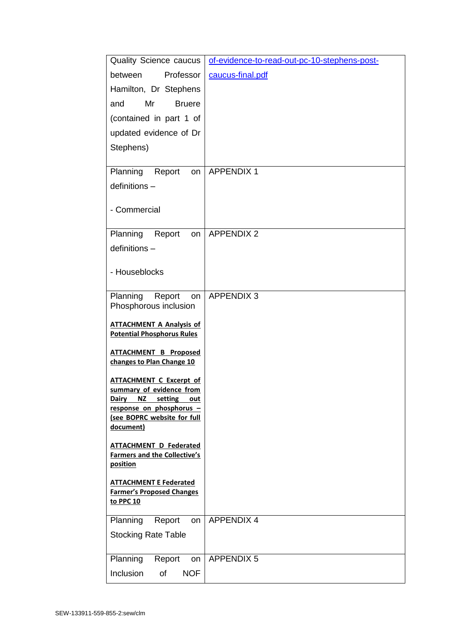| <b>Quality Science caucus</b>                                                  | of-evidence-to-read-out-pc-10-stephens-post- |
|--------------------------------------------------------------------------------|----------------------------------------------|
| Professor<br>between                                                           | caucus-final.pdf                             |
| Hamilton, Dr Stephens                                                          |                                              |
| Mr<br>and<br><b>Bruere</b>                                                     |                                              |
| (contained in part 1 of                                                        |                                              |
| updated evidence of Dr                                                         |                                              |
| Stephens)                                                                      |                                              |
| Planning<br>Report                                                             | <b>APPENDIX 1</b>                            |
| on<br>definitions -                                                            |                                              |
|                                                                                |                                              |
| - Commercial                                                                   |                                              |
|                                                                                |                                              |
| Planning<br>Report<br>on                                                       | <b>APPENDIX 2</b>                            |
| definitions -                                                                  |                                              |
| - Houseblocks                                                                  |                                              |
|                                                                                |                                              |
| Planning<br>Report<br>on                                                       | <b>APPENDIX 3</b>                            |
| Phosphorous inclusion                                                          |                                              |
| <b>ATTACHMENT A Analysis of</b><br><b>Potential Phosphorus Rules</b>           |                                              |
| <b>ATTACHMENT B Proposed</b>                                                   |                                              |
| changes to Plan Change 10                                                      |                                              |
| <b>ATTACHMENT C Excerpt of</b>                                                 |                                              |
| summary of evidence from                                                       |                                              |
| <b>Dairy</b><br><u>NZ</u><br>setting<br><u>out</u><br>response on phosphorus - |                                              |
| (see BOPRC website for full                                                    |                                              |
| document)                                                                      |                                              |
| <b>ATTACHMENT D Federated</b><br><b>Farmers and the Collective's</b>           |                                              |
| position                                                                       |                                              |
| <b>ATTACHMENT E Federated</b>                                                  |                                              |
| <b>Farmer's Proposed Changes</b>                                               |                                              |
| to PPC 10                                                                      |                                              |
| Planning<br>Report<br>on                                                       | <b>APPENDIX 4</b>                            |
| <b>Stocking Rate Table</b>                                                     |                                              |
| Planning<br>Report<br>on                                                       | <b>APPENDIX 5</b>                            |
| Inclusion<br><b>NOF</b><br>of                                                  |                                              |
|                                                                                |                                              |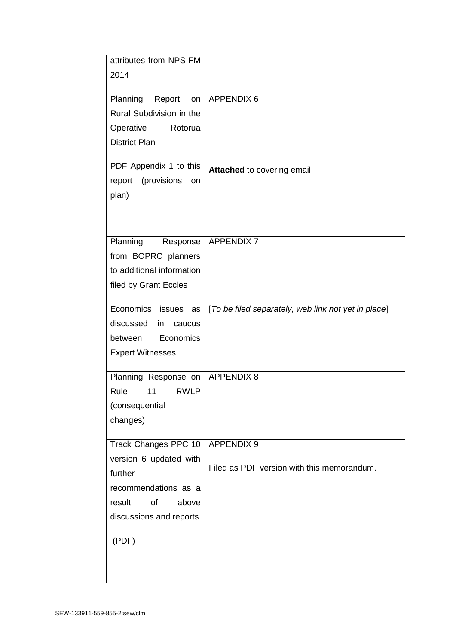| attributes from NPS-FM      |                                                     |
|-----------------------------|-----------------------------------------------------|
| 2014                        |                                                     |
|                             |                                                     |
| Planning Report<br>on       | <b>APPENDIX 6</b>                                   |
| Rural Subdivision in the    |                                                     |
| Operative<br>Rotorua        |                                                     |
| <b>District Plan</b>        |                                                     |
|                             |                                                     |
| PDF Appendix 1 to this      |                                                     |
| (provisions<br>report<br>on | Attached to covering email                          |
|                             |                                                     |
| plan)                       |                                                     |
|                             |                                                     |
|                             |                                                     |
| Planning<br>Response        | <b>APPENDIX 7</b>                                   |
| from BOPRC planners         |                                                     |
| to additional information   |                                                     |
| filed by Grant Eccles       |                                                     |
|                             |                                                     |
| Economics issues as         | [To be filed separately, web link not yet in place] |
| discussed<br>caucus<br>in   |                                                     |
| Economics<br>between        |                                                     |
| <b>Expert Witnesses</b>     |                                                     |
|                             |                                                     |
| Planning Response on        | <b>APPENDIX 8</b>                                   |
| Rule<br>11<br><b>RWLP</b>   |                                                     |
| (consequential              |                                                     |
| changes)                    |                                                     |
|                             |                                                     |
| Track Changes PPC 10        | <b>APPENDIX 9</b>                                   |
| version 6 updated with      |                                                     |
| further                     | Filed as PDF version with this memorandum.          |
| recommendations as a        |                                                     |
| of<br>result<br>above       |                                                     |
| discussions and reports     |                                                     |
|                             |                                                     |
| (PDF)                       |                                                     |
|                             |                                                     |
|                             |                                                     |
|                             |                                                     |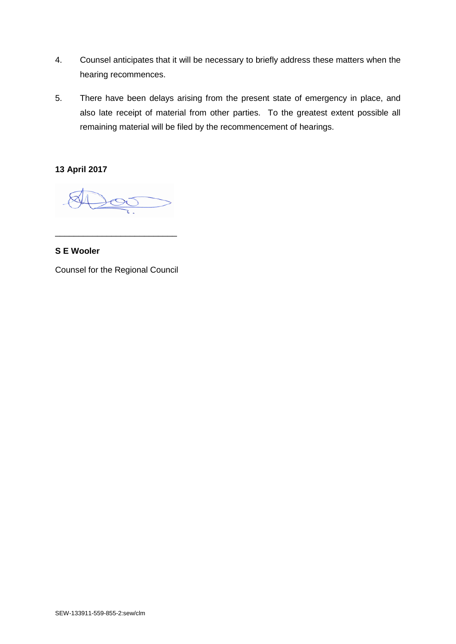- 4. Counsel anticipates that it will be necessary to briefly address these matters when the hearing recommences.
- 5. There have been delays arising from the present state of emergency in place, and also late receipt of material from other parties. To the greatest extent possible all remaining material will be filed by the recommencement of hearings.

**13 April 2017**

\_\_\_\_\_\_\_\_\_\_\_\_\_\_\_\_\_\_\_\_\_\_\_\_\_\_

**S E Wooler**

Counsel for the Regional Council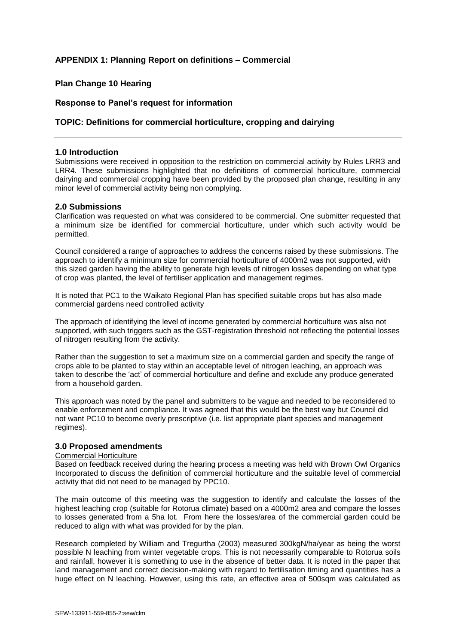## **APPENDIX 1: Planning Report on definitions – Commercial**

## **Plan Change 10 Hearing**

#### **Response to Panel's request for information**

#### **TOPIC: Definitions for commercial horticulture, cropping and dairying**

#### **1.0 Introduction**

Submissions were received in opposition to the restriction on commercial activity by Rules LRR3 and LRR4. These submissions highlighted that no definitions of commercial horticulture, commercial dairying and commercial cropping have been provided by the proposed plan change, resulting in any minor level of commercial activity being non complying.

#### **2.0 Submissions**

Clarification was requested on what was considered to be commercial. One submitter requested that a minimum size be identified for commercial horticulture, under which such activity would be permitted.

Council considered a range of approaches to address the concerns raised by these submissions. The approach to identify a minimum size for commercial horticulture of 4000m2 was not supported, with this sized garden having the ability to generate high levels of nitrogen losses depending on what type of crop was planted, the level of fertiliser application and management regimes.

It is noted that PC1 to the Waikato Regional Plan has specified suitable crops but has also made commercial gardens need controlled activity

The approach of identifying the level of income generated by commercial horticulture was also not supported, with such triggers such as the GST-registration threshold not reflecting the potential losses of nitrogen resulting from the activity.

Rather than the suggestion to set a maximum size on a commercial garden and specify the range of crops able to be planted to stay within an acceptable level of nitrogen leaching, an approach was taken to describe the 'act' of commercial horticulture and define and exclude any produce generated from a household garden.

This approach was noted by the panel and submitters to be vague and needed to be reconsidered to enable enforcement and compliance. It was agreed that this would be the best way but Council did not want PC10 to become overly prescriptive (i.e. list appropriate plant species and management regimes).

#### **3.0 Proposed amendments**

#### Commercial Horticulture

Based on feedback received during the hearing process a meeting was held with Brown Owl Organics Incorporated to discuss the definition of commercial horticulture and the suitable level of commercial activity that did not need to be managed by PPC10.

The main outcome of this meeting was the suggestion to identify and calculate the losses of the highest leaching crop (suitable for Rotorua climate) based on a 4000m2 area and compare the losses to losses generated from a 5ha lot. From here the losses/area of the commercial garden could be reduced to align with what was provided for by the plan.

Research completed by William and Tregurtha (2003) measured 300kgN/ha/year as being the worst possible N leaching from winter vegetable crops. This is not necessarily comparable to Rotorua soils and rainfall, however it is something to use in the absence of better data. It is noted in the paper that land management and correct decision-making with regard to fertilisation timing and quantities has a huge effect on N leaching. However, using this rate, an effective area of 500sqm was calculated as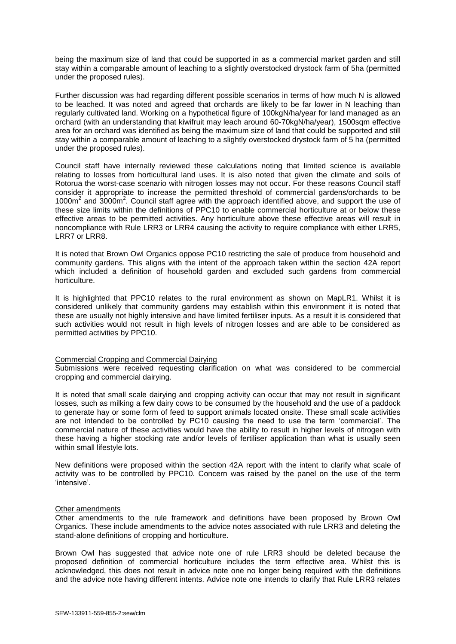being the maximum size of land that could be supported in as a commercial market garden and still stay within a comparable amount of leaching to a slightly overstocked drystock farm of 5ha (permitted under the proposed rules).

Further discussion was had regarding different possible scenarios in terms of how much N is allowed to be leached. It was noted and agreed that orchards are likely to be far lower in N leaching than regularly cultivated land. Working on a hypothetical figure of 100kgN/ha/year for land managed as an orchard (with an understanding that kiwifruit may leach around 60-70kgN/ha/year), 1500sqm effective area for an orchard was identified as being the maximum size of land that could be supported and still stay within a comparable amount of leaching to a slightly overstocked drystock farm of 5 ha (permitted under the proposed rules).

Council staff have internally reviewed these calculations noting that limited science is available relating to losses from horticultural land uses. It is also noted that given the climate and soils of Rotorua the worst-case scenario with nitrogen losses may not occur. For these reasons Council staff consider it appropriate to increase the permitted threshold of commercial gardens/orchards to be 1000m<sup>2</sup> and 3000m<sup>2</sup>. Council staff agree with the approach identified above, and support the use of these size limits within the definitions of PPC10 to enable commercial horticulture at or below these effective areas to be permitted activities. Any horticulture above these effective areas will result in noncompliance with Rule LRR3 or LRR4 causing the activity to require compliance with either LRR5, LRR7 or LRR8.

It is noted that Brown Owl Organics oppose PC10 restricting the sale of produce from household and community gardens. This aligns with the intent of the approach taken within the section 42A report which included a definition of household garden and excluded such gardens from commercial horticulture.

It is highlighted that PPC10 relates to the rural environment as shown on MapLR1. Whilst it is considered unlikely that community gardens may establish within this environment it is noted that these are usually not highly intensive and have limited fertiliser inputs. As a result it is considered that such activities would not result in high levels of nitrogen losses and are able to be considered as permitted activities by PPC10.

#### Commercial Cropping and Commercial Dairying

Submissions were received requesting clarification on what was considered to be commercial cropping and commercial dairying.

It is noted that small scale dairying and cropping activity can occur that may not result in significant losses, such as milking a few dairy cows to be consumed by the household and the use of a paddock to generate hay or some form of feed to support animals located onsite. These small scale activities are not intended to be controlled by PC10 causing the need to use the term 'commercial'. The commercial nature of these activities would have the ability to result in higher levels of nitrogen with these having a higher stocking rate and/or levels of fertiliser application than what is usually seen within small lifestyle lots.

New definitions were proposed within the section 42A report with the intent to clarify what scale of activity was to be controlled by PPC10. Concern was raised by the panel on the use of the term 'intensive'.

#### Other amendments

Other amendments to the rule framework and definitions have been proposed by Brown Owl Organics. These include amendments to the advice notes associated with rule LRR3 and deleting the stand-alone definitions of cropping and horticulture.

Brown Owl has suggested that advice note one of rule LRR3 should be deleted because the proposed definition of commercial horticulture includes the term effective area. Whilst this is acknowledged, this does not result in advice note one no longer being required with the definitions and the advice note having different intents. Advice note one intends to clarify that Rule LRR3 relates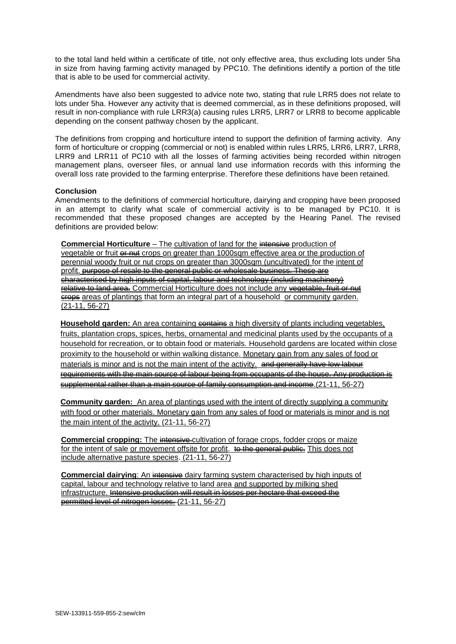to the total land held within a certificate of title, not only effective area, thus excluding lots under 5ha in size from having farming activity managed by PPC10. The definitions identify a portion of the title that is able to be used for commercial activity.

Amendments have also been suggested to advice note two, stating that rule LRR5 does not relate to lots under 5ha. However any activity that is deemed commercial, as in these definitions proposed, will result in non-compliance with rule LRR3(a) causing rules LRR5, LRR7 or LRR8 to become applicable depending on the consent pathway chosen by the applicant.

The definitions from cropping and horticulture intend to support the definition of farming activity. Any form of horticulture or cropping (commercial or not) is enabled within rules LRR5, LRR6, LRR7, LRR8, LRR9 and LRR11 of PC10 with all the losses of farming activities being recorded within nitrogen management plans, overseer files, or annual land use information records with this informing the overall loss rate provided to the farming enterprise. Therefore these definitions have been retained.

#### **Conclusion**

Amendments to the definitions of commercial horticulture, dairying and cropping have been proposed in an attempt to clarify what scale of commercial activity is to be managed by PC10. It is recommended that these proposed changes are accepted by the Hearing Panel. The revised definitions are provided below:

**Commercial Horticulture** – The cultivation of land for the intensive production of vegetable or fruit or nut crops on greater than 1000sqm effective area or the production of perennial woody fruit or nut crops on greater than 3000sqm (uncultivated) for the intent of profit. purpose of resale to the general public or wholesale business. These are characterised by high inputs of capital, labour and technology (including machinery) relative to land area. Commercial Horticulture does not include any vegetable, fruit or nut erope areas of plantings that form an integral part of a household or community garden. (21-11, 56-27)

**Household garden:** An area containing contains a high diversity of plants including vegetables, fruits, plantation crops, spices, herbs, ornamental and medicinal plants used by the occupants of a household for recreation, or to obtain food or materials. Household gardens are located within close proximity to the household or within walking distance. Monetary gain from any sales of food or materials is minor and is not the main intent of the activity. and generally have low labour requirements with the main source of labour being from occupants of the house. Any production is supplemental rather than a main source of family consumption and income.(21-11, 56-27)

**Community garden:** An area of plantings used with the intent of directly supplying a community with food or other materials. Monetary gain from any sales of food or materials is minor and is not the main intent of the activity. (21-11, 56-27)

**Commercial cropping:** The intensive-cultivation of forage crops, fodder crops or maize for the intent of sale or movement offsite for profit. to the general public. This does not include alternative pasture species. (21-11, 56-27)

**Commercial dairying:** An intensive dairy farming system characterised by high inputs of capital, labour and technology relative to land area and supported by milking shed infrastructure. Intensive production will result in losses per hectare that exceed the permitted level of nitrogen losses. (21-11, 56-27)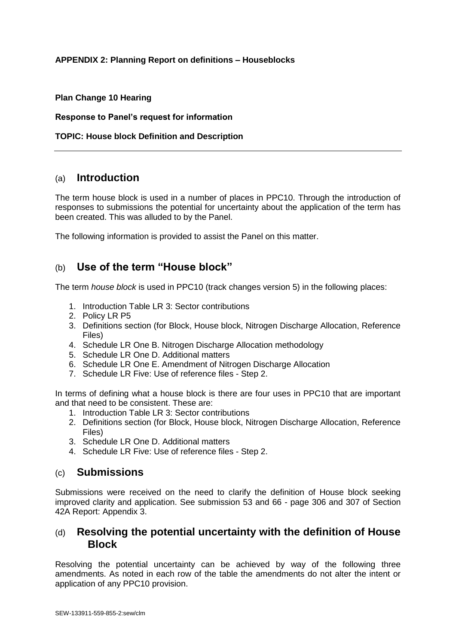## **APPENDIX 2: Planning Report on definitions – Houseblocks**

## **Plan Change 10 Hearing**

## **Response to Panel's request for information**

## **TOPIC: House block Definition and Description**

# (a) **Introduction**

The term house block is used in a number of places in PPC10. Through the introduction of responses to submissions the potential for uncertainty about the application of the term has been created. This was alluded to by the Panel.

The following information is provided to assist the Panel on this matter.

# (b) **Use of the term "House block"**

The term *house block* is used in PPC10 (track changes version 5) in the following places:

- 1. Introduction Table LR 3: Sector contributions
- 2. Policy LR P5
- 3. Definitions section (for Block, House block, Nitrogen Discharge Allocation, Reference Files)
- 4. Schedule LR One B. Nitrogen Discharge Allocation methodology
- 5. Schedule LR One D. Additional matters
- 6. Schedule LR One E. Amendment of Nitrogen Discharge Allocation
- 7. Schedule LR Five: Use of reference files Step 2.

In terms of defining what a house block is there are four uses in PPC10 that are important and that need to be consistent. These are:

- 1. Introduction Table LR 3: Sector contributions
- 2. Definitions section (for Block, House block, Nitrogen Discharge Allocation, Reference Files)
- 3. Schedule LR One D. Additional matters
- 4. Schedule LR Five: Use of reference files Step 2.

# (c) **Submissions**

Submissions were received on the need to clarify the definition of House block seeking improved clarity and application. See submission 53 and 66 - page 306 and 307 of Section 42A Report: Appendix 3.

# (d) **Resolving the potential uncertainty with the definition of House Block**

Resolving the potential uncertainty can be achieved by way of the following three amendments. As noted in each row of the table the amendments do not alter the intent or application of any PPC10 provision.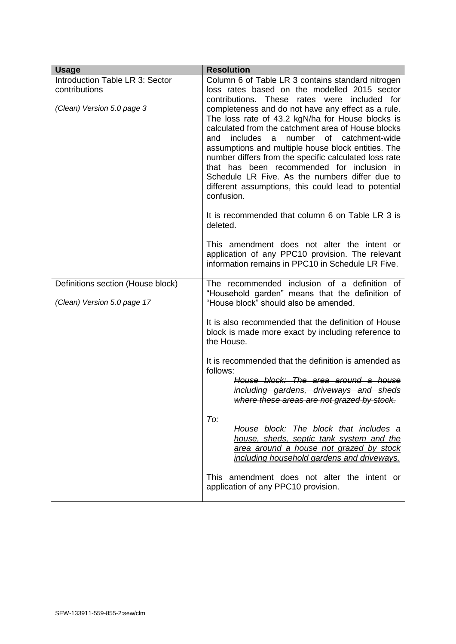| <b>Usage</b>                                                     | <b>Resolution</b>                                                                                                                                                                                                                                                                                                                                                                                                                                                                                                                                                 |
|------------------------------------------------------------------|-------------------------------------------------------------------------------------------------------------------------------------------------------------------------------------------------------------------------------------------------------------------------------------------------------------------------------------------------------------------------------------------------------------------------------------------------------------------------------------------------------------------------------------------------------------------|
| Introduction Table LR 3: Sector                                  | Column 6 of Table LR 3 contains standard nitrogen                                                                                                                                                                                                                                                                                                                                                                                                                                                                                                                 |
| contributions                                                    | loss rates based on the modelled 2015 sector                                                                                                                                                                                                                                                                                                                                                                                                                                                                                                                      |
| (Clean) Version 5.0 page 3                                       | These<br>contributions.<br>rates were included for<br>completeness and do not have any effect as a rule.<br>The loss rate of 43.2 kgN/ha for House blocks is<br>calculated from the catchment area of House blocks<br>number of catchment-wide<br><i>includes</i><br>and<br>a<br>assumptions and multiple house block entities. The<br>number differs from the specific calculated loss rate<br>that has been recommended for inclusion in<br>Schedule LR Five. As the numbers differ due to<br>different assumptions, this could lead to potential<br>confusion. |
|                                                                  | It is recommended that column 6 on Table LR 3 is<br>deleted.                                                                                                                                                                                                                                                                                                                                                                                                                                                                                                      |
|                                                                  | This amendment does not alter the intent or<br>application of any PPC10 provision. The relevant<br>information remains in PPC10 in Schedule LR Five.                                                                                                                                                                                                                                                                                                                                                                                                              |
| Definitions section (House block)<br>(Clean) Version 5.0 page 17 | The recommended inclusion of a definition of<br>"Household garden" means that the definition of<br>"House block" should also be amended.                                                                                                                                                                                                                                                                                                                                                                                                                          |
|                                                                  | It is also recommended that the definition of House<br>block is made more exact by including reference to<br>the House.                                                                                                                                                                                                                                                                                                                                                                                                                                           |
|                                                                  | It is recommended that the definition is amended as<br>follows:                                                                                                                                                                                                                                                                                                                                                                                                                                                                                                   |
|                                                                  | House block: The area around a house<br>including gardens, driveways and sheds<br>where these areas are not grazed by stock.                                                                                                                                                                                                                                                                                                                                                                                                                                      |
|                                                                  | To:<br>House block: The block that includes a<br>house, sheds, septic tank system and the<br>area around a house not grazed by stock<br>including household gardens and driveways.                                                                                                                                                                                                                                                                                                                                                                                |
|                                                                  | This amendment does not alter the intent or<br>application of any PPC10 provision.                                                                                                                                                                                                                                                                                                                                                                                                                                                                                |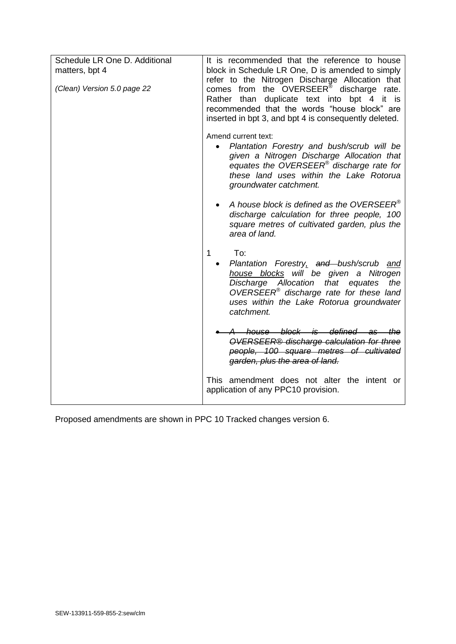| Schedule LR One D. Additional<br>matters, bpt 4 | It is recommended that the reference to house<br>block in Schedule LR One, D is amended to simply<br>refer to the Nitrogen Discharge Allocation that                                                                                                      |
|-------------------------------------------------|-----------------------------------------------------------------------------------------------------------------------------------------------------------------------------------------------------------------------------------------------------------|
| (Clean) Version 5.0 page 22                     | comes from the OVERSEER® discharge rate.<br>Rather than duplicate text into bpt 4 it is<br>recommended that the words "house block" are<br>inserted in bpt 3, and bpt 4 is consequently deleted.                                                          |
|                                                 | Amend current text:<br>Plantation Forestry and bush/scrub will be<br>$\bullet$<br>given a Nitrogen Discharge Allocation that<br>equates the OVERSEER® discharge rate for<br>these land uses within the Lake Rotorua<br>groundwater catchment.             |
|                                                 | A house block is defined as the OVERSEER®<br>discharge calculation for three people, 100<br>square metres of cultivated garden, plus the<br>area of land.                                                                                                 |
|                                                 | 1<br>To:<br>Plantation Forestry, and bush/scrub and<br>house blocks will be given a Nitrogen<br>Discharge Allocation that equates<br>the<br>OVERSEER <sup>®</sup> discharge rate for these land<br>uses within the Lake Rotorua groundwater<br>catchment. |
|                                                 | house block is defined as the<br>OVERSEER® discharge calculation for three<br>people, 100 square metres of cultivated<br>garden, plus the area of land.                                                                                                   |
|                                                 | This amendment does not alter the intent or<br>application of any PPC10 provision.                                                                                                                                                                        |

Proposed amendments are shown in PPC 10 Tracked changes version 6.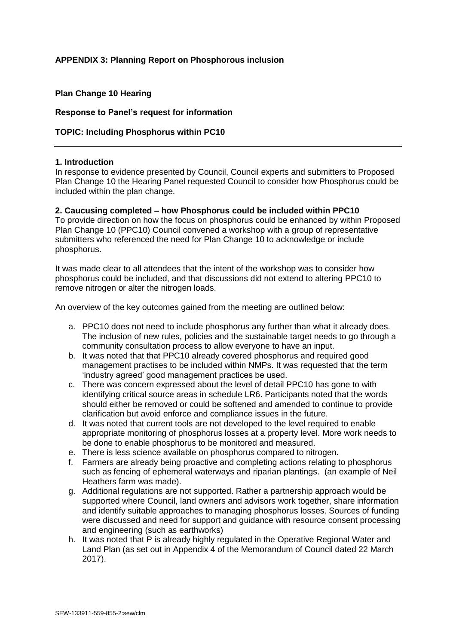## **APPENDIX 3: Planning Report on Phosphorous inclusion**

## **Plan Change 10 Hearing**

#### **Response to Panel's request for information**

## **TOPIC: Including Phosphorus within PC10**

#### **1. Introduction**

In response to evidence presented by Council, Council experts and submitters to Proposed Plan Change 10 the Hearing Panel requested Council to consider how Phosphorus could be included within the plan change.

## **2. Caucusing completed – how Phosphorus could be included within PPC10**

To provide direction on how the focus on phosphorus could be enhanced by within Proposed Plan Change 10 (PPC10) Council convened a workshop with a group of representative submitters who referenced the need for Plan Change 10 to acknowledge or include phosphorus.

It was made clear to all attendees that the intent of the workshop was to consider how phosphorus could be included, and that discussions did not extend to altering PPC10 to remove nitrogen or alter the nitrogen loads.

An overview of the key outcomes gained from the meeting are outlined below:

- a. PPC10 does not need to include phosphorus any further than what it already does. The inclusion of new rules, policies and the sustainable target needs to go through a community consultation process to allow everyone to have an input.
- b. It was noted that that PPC10 already covered phosphorus and required good management practises to be included within NMPs. It was requested that the term 'industry agreed' good management practices be used.
- c. There was concern expressed about the level of detail PPC10 has gone to with identifying critical source areas in schedule LR6. Participants noted that the words should either be removed or could be softened and amended to continue to provide clarification but avoid enforce and compliance issues in the future.
- d. It was noted that current tools are not developed to the level required to enable appropriate monitoring of phosphorus losses at a property level. More work needs to be done to enable phosphorus to be monitored and measured.
- e. There is less science available on phosphorus compared to nitrogen.
- f. Farmers are already being proactive and completing actions relating to phosphorus such as fencing of ephemeral waterways and riparian plantings. (an example of Neil Heathers farm was made).
- g. Additional regulations are not supported. Rather a partnership approach would be supported where Council, land owners and advisors work together, share information and identify suitable approaches to managing phosphorus losses. Sources of funding were discussed and need for support and guidance with resource consent processing and engineering (such as earthworks)
- h. It was noted that P is already highly regulated in the Operative Regional Water and Land Plan (as set out in Appendix 4 of the Memorandum of Council dated 22 March 2017).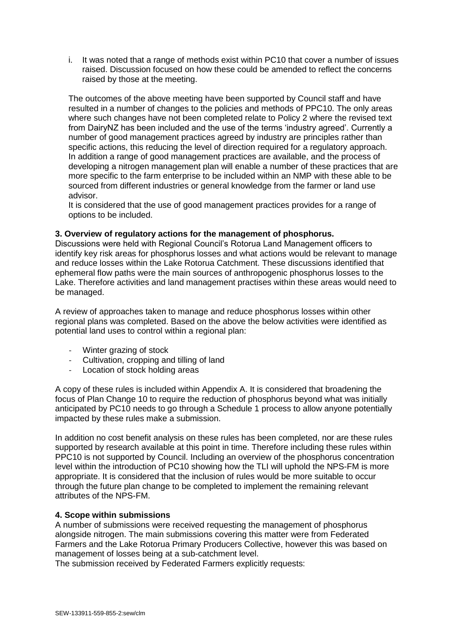i. It was noted that a range of methods exist within PC10 that cover a number of issues raised. Discussion focused on how these could be amended to reflect the concerns raised by those at the meeting.

The outcomes of the above meeting have been supported by Council staff and have resulted in a number of changes to the policies and methods of PPC10. The only areas where such changes have not been completed relate to Policy 2 where the revised text from DairyNZ has been included and the use of the terms 'industry agreed'. Currently a number of good management practices agreed by industry are principles rather than specific actions, this reducing the level of direction required for a regulatory approach. In addition a range of good management practices are available, and the process of developing a nitrogen management plan will enable a number of these practices that are more specific to the farm enterprise to be included within an NMP with these able to be sourced from different industries or general knowledge from the farmer or land use advisor.

It is considered that the use of good management practices provides for a range of options to be included.

## **3. Overview of regulatory actions for the management of phosphorus.**

Discussions were held with Regional Council's Rotorua Land Management officers to identify key risk areas for phosphorus losses and what actions would be relevant to manage and reduce losses within the Lake Rotorua Catchment. These discussions identified that ephemeral flow paths were the main sources of anthropogenic phosphorus losses to the Lake. Therefore activities and land management practises within these areas would need to be managed.

A review of approaches taken to manage and reduce phosphorus losses within other regional plans was completed. Based on the above the below activities were identified as potential land uses to control within a regional plan:

- Winter grazing of stock
- Cultivation, cropping and tilling of land
- Location of stock holding areas

A copy of these rules is included within Appendix A. It is considered that broadening the focus of Plan Change 10 to require the reduction of phosphorus beyond what was initially anticipated by PC10 needs to go through a Schedule 1 process to allow anyone potentially impacted by these rules make a submission.

In addition no cost benefit analysis on these rules has been completed, nor are these rules supported by research available at this point in time. Therefore including these rules within PPC10 is not supported by Council. Including an overview of the phosphorus concentration level within the introduction of PC10 showing how the TLI will uphold the NPS-FM is more appropriate. It is considered that the inclusion of rules would be more suitable to occur through the future plan change to be completed to implement the remaining relevant attributes of the NPS-FM.

#### **4. Scope within submissions**

A number of submissions were received requesting the management of phosphorus alongside nitrogen. The main submissions covering this matter were from Federated Farmers and the Lake Rotorua Primary Producers Collective, however this was based on management of losses being at a sub-catchment level.

The submission received by Federated Farmers explicitly requests: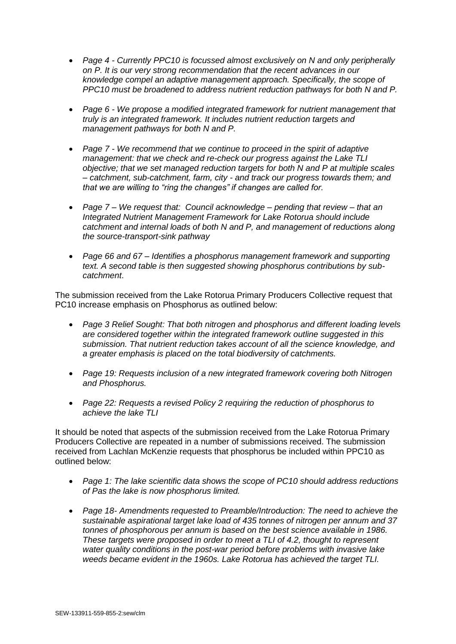- *Page 4 - Currently PPC10 is focussed almost exclusively on N and only peripherally on P. It is our very strong recommendation that the recent advances in our knowledge compel an adaptive management approach. Specifically, the scope of PPC10 must be broadened to address nutrient reduction pathways for both N and P.*
- *Page 6 - We propose a modified integrated framework for nutrient management that truly is an integrated framework. It includes nutrient reduction targets and management pathways for both N and P.*
- *Page 7 - We recommend that we continue to proceed in the spirit of adaptive management: that we check and re-check our progress against the Lake TLI objective; that we set managed reduction targets for both N and P at multiple scales – catchment, sub-catchment, farm, city - and track our progress towards them; and that we are willing to "ring the changes" if changes are called for.*
- *Page 7 – We request that: Council acknowledge – pending that review – that an Integrated Nutrient Management Framework for Lake Rotorua should include catchment and internal loads of both N and P, and management of reductions along the source-transport-sink pathway*
- *Page 66 and 67 – Identifies a phosphorus management framework and supporting text. A second table is then suggested showing phosphorus contributions by subcatchment*.

The submission received from the Lake Rotorua Primary Producers Collective request that PC10 increase emphasis on Phosphorus as outlined below:

- *Page 3 Relief Sought: That both nitrogen and phosphorus and different loading levels are considered together within the integrated framework outline suggested in this submission. That nutrient reduction takes account of all the science knowledge, and a greater emphasis is placed on the total biodiversity of catchments.*
- *Page 19: Requests inclusion of a new integrated framework covering both Nitrogen and Phosphorus.*
- *Page 22: Requests a revised Policy 2 requiring the reduction of phosphorus to achieve the lake TLI*

It should be noted that aspects of the submission received from the Lake Rotorua Primary Producers Collective are repeated in a number of submissions received. The submission received from Lachlan McKenzie requests that phosphorus be included within PPC10 as outlined below:

- *Page 1: The lake scientific data shows the scope of PC10 should address reductions of Pas the lake is now phosphorus limited.*
- *Page 18- Amendments requested to Preamble/Introduction: The need to achieve the sustainable aspirational target lake load of 435 tonnes of nitrogen per annum and 37 tonnes of phosphorous per annum is based on the best science available in 1986. These targets were proposed in order to meet a TLI of 4.2, thought to represent water quality conditions in the post-war period before problems with invasive lake weeds became evident in the 1960s. Lake Rotorua has achieved the target TLI.*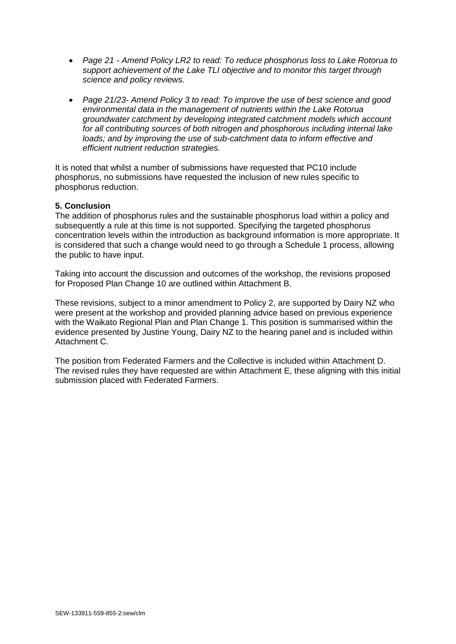- *Page 21 - Amend Policy LR2 to read: To reduce phosphorus loss to Lake Rotorua to support achievement of the Lake TLI objective and to monitor this target through science and policy reviews.*
- *Page 21/23- Amend Policy 3 to read: To improve the use of best science and good environmental data in the management of nutrients within the Lake Rotorua groundwater catchment by developing integrated catchment models which account for all contributing sources of both nitrogen and phosphorous including internal lake loads; and by improving the use of sub-catchment data to inform effective and efficient nutrient reduction strategies.*

It is noted that whilst a number of submissions have requested that PC10 include phosphorus, no submissions have requested the inclusion of new rules specific to phosphorus reduction.

## **5. Conclusion**

The addition of phosphorus rules and the sustainable phosphorus load within a policy and subsequently a rule at this time is not supported. Specifying the targeted phosphorus concentration levels within the introduction as background information is more appropriate. It is considered that such a change would need to go through a Schedule 1 process, allowing the public to have input.

Taking into account the discussion and outcomes of the workshop, the revisions proposed for Proposed Plan Change 10 are outlined within Attachment B.

These revisions, subject to a minor amendment to Policy 2, are supported by Dairy NZ who were present at the workshop and provided planning advice based on previous experience with the Waikato Regional Plan and Plan Change 1. This position is summarised within the evidence presented by Justine Young, Dairy NZ to the hearing panel and is included within Attachment C.

The position from Federated Farmers and the Collective is included within Attachment D. The revised rules they have requested are within Attachment E, these aligning with this initial submission placed with Federated Farmers.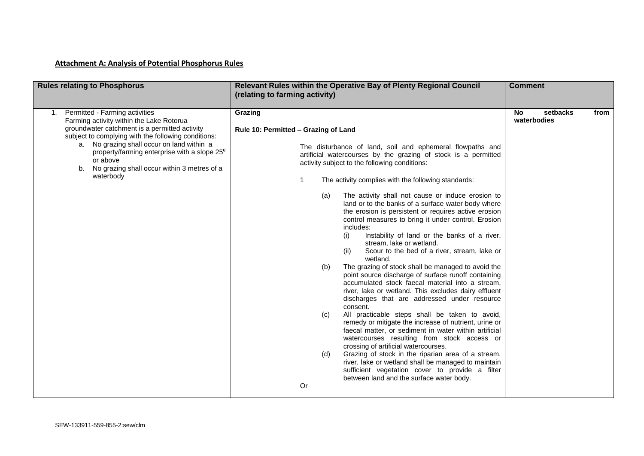## **Attachment A: Analysis of Potential Phosphorus Rules**

| <b>Rules relating to Phosphorus</b>                                                                                                                                                                                                                                                                                                                                        | Relevant Rules within the Operative Bay of Plenty Regional Council<br>(relating to farming activity)                                                                                                                                                                                                                                                                                                                                                                                                                                                                                                                                                                                                                                                                                                                                                                                                                                                                                                                                                                                                                                                                                                                                                                                                                                                                                                                                                                               | <b>Comment</b>                               |
|----------------------------------------------------------------------------------------------------------------------------------------------------------------------------------------------------------------------------------------------------------------------------------------------------------------------------------------------------------------------------|------------------------------------------------------------------------------------------------------------------------------------------------------------------------------------------------------------------------------------------------------------------------------------------------------------------------------------------------------------------------------------------------------------------------------------------------------------------------------------------------------------------------------------------------------------------------------------------------------------------------------------------------------------------------------------------------------------------------------------------------------------------------------------------------------------------------------------------------------------------------------------------------------------------------------------------------------------------------------------------------------------------------------------------------------------------------------------------------------------------------------------------------------------------------------------------------------------------------------------------------------------------------------------------------------------------------------------------------------------------------------------------------------------------------------------------------------------------------------------|----------------------------------------------|
| 1. Permitted - Farming activities<br>Farming activity within the Lake Rotorua<br>groundwater catchment is a permitted activity<br>subject to complying with the following conditions:<br>a. No grazing shall occur on land within a<br>property/farming enterprise with a slope $25^{\circ}$<br>or above<br>No grazing shall occur within 3 metres of a<br>b.<br>waterbody | Grazing<br>Rule 10: Permitted - Grazing of Land<br>The disturbance of land, soil and ephemeral flowpaths and<br>artificial watercourses by the grazing of stock is a permitted<br>activity subject to the following conditions:<br>The activity complies with the following standards:<br>The activity shall not cause or induce erosion to<br>(a)<br>land or to the banks of a surface water body where<br>the erosion is persistent or requires active erosion<br>control measures to bring it under control. Erosion<br>includes:<br>Instability of land or the banks of a river,<br>(i)<br>stream, lake or wetland.<br>Scour to the bed of a river, stream, lake or<br>(ii)<br>wetland.<br>The grazing of stock shall be managed to avoid the<br>(b)<br>point source discharge of surface runoff containing<br>accumulated stock faecal material into a stream,<br>river, lake or wetland. This excludes dairy effluent<br>discharges that are addressed under resource<br>consent.<br>All practicable steps shall be taken to avoid,<br>(c)<br>remedy or mitigate the increase of nutrient, urine or<br>faecal matter, or sediment in water within artificial<br>watercourses resulting from stock access or<br>crossing of artificial watercourses.<br>Grazing of stock in the riparian area of a stream,<br>(d)<br>river, lake or wetland shall be managed to maintain<br>sufficient vegetation cover to provide a filter<br>between land and the surface water body.<br>Or | setbacks<br><b>No</b><br>from<br>waterbodies |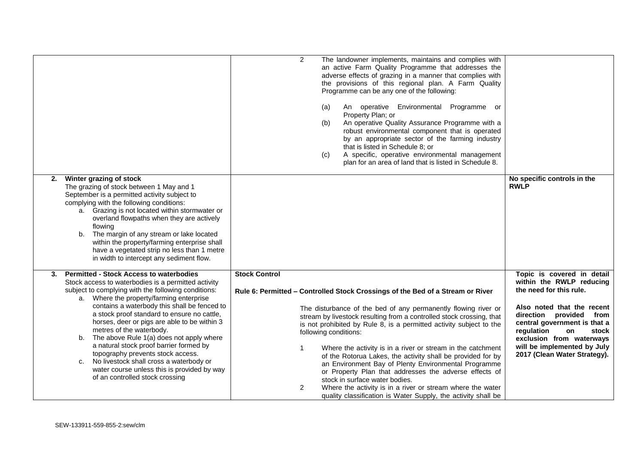|                                                                                                                                                                                                                                                                                                                                                                                                                                                                                                                                                                                                                                                                | $\overline{2}$<br>The landowner implements, maintains and complies with<br>an active Farm Quality Programme that addresses the<br>adverse effects of grazing in a manner that complies with<br>the provisions of this regional plan. A Farm Quality<br>Programme can be any one of the following:<br>An operative Environmental<br>Programme or<br>(a)<br>Property Plan; or<br>An operative Quality Assurance Programme with a<br>(b)<br>robust environmental component that is operated<br>by an appropriate sector of the farming industry<br>that is listed in Schedule 8; or<br>A specific, operative environmental management<br>(c)<br>plan for an area of land that is listed in Schedule 8.                                                                         |                                                                                                                                                                                                                                                                                                           |
|----------------------------------------------------------------------------------------------------------------------------------------------------------------------------------------------------------------------------------------------------------------------------------------------------------------------------------------------------------------------------------------------------------------------------------------------------------------------------------------------------------------------------------------------------------------------------------------------------------------------------------------------------------------|-----------------------------------------------------------------------------------------------------------------------------------------------------------------------------------------------------------------------------------------------------------------------------------------------------------------------------------------------------------------------------------------------------------------------------------------------------------------------------------------------------------------------------------------------------------------------------------------------------------------------------------------------------------------------------------------------------------------------------------------------------------------------------|-----------------------------------------------------------------------------------------------------------------------------------------------------------------------------------------------------------------------------------------------------------------------------------------------------------|
| Winter grazing of stock<br>2.<br>The grazing of stock between 1 May and 1<br>September is a permitted activity subject to<br>complying with the following conditions:<br>a. Grazing is not located within stormwater or<br>overland flowpaths when they are actively<br>flowing<br>The margin of any stream or lake located<br>b.<br>within the property/farming enterprise shall<br>have a vegetated strip no less than 1 metre<br>in width to intercept any sediment flow.                                                                                                                                                                                   |                                                                                                                                                                                                                                                                                                                                                                                                                                                                                                                                                                                                                                                                                                                                                                             | No specific controls in the<br><b>RWLP</b>                                                                                                                                                                                                                                                                |
| <b>Permitted - Stock Access to waterbodies</b><br>3.<br>Stock access to waterbodies is a permitted activity<br>subject to complying with the following conditions:<br>a. Where the property/farming enterprise<br>contains a waterbody this shall be fenced to<br>a stock proof standard to ensure no cattle,<br>horses, deer or pigs are able to be within 3<br>metres of the waterbody.<br>The above Rule 1(a) does not apply where<br>b.<br>a natural stock proof barrier formed by<br>topography prevents stock access.<br>No livestock shall cross a waterbody or<br>c.<br>water course unless this is provided by way<br>of an controlled stock crossing | <b>Stock Control</b><br>Rule 6: Permitted - Controlled Stock Crossings of the Bed of a Stream or River<br>The disturbance of the bed of any permanently flowing river or<br>stream by livestock resulting from a controlled stock crossing, that<br>is not prohibited by Rule 8, is a permitted activity subject to the<br>following conditions:<br>Where the activity is in a river or stream in the catchment<br>1<br>of the Rotorua Lakes, the activity shall be provided for by<br>an Environment Bay of Plenty Environmental Programme<br>or Property Plan that addresses the adverse effects of<br>stock in surface water bodies.<br>Where the activity is in a river or stream where the water<br>2<br>quality classification is Water Supply, the activity shall be | Topic is covered in detail<br>within the RWLP reducing<br>the need for this rule.<br>Also noted that the recent<br>direction provided from<br>central government is that a<br>regulation<br>stock<br><b>on</b><br>exclusion from waterways<br>will be implemented by July<br>2017 (Clean Water Strategy). |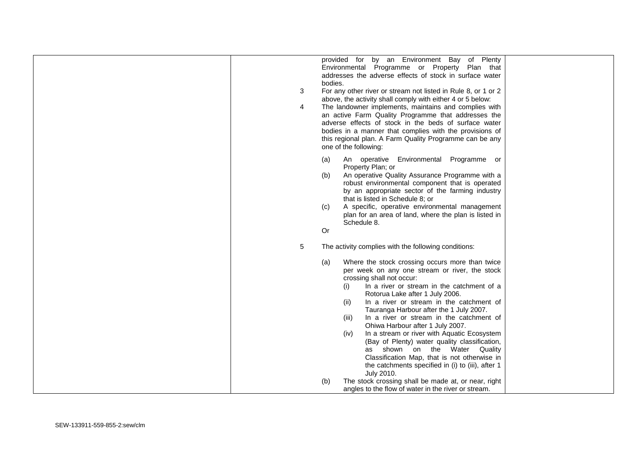| provided for by an Environment Bay of Plenty<br>Environmental Programme or Property Plan that<br>addresses the adverse effects of stock in surface water<br>bodies.<br>For any other river or stream not listed in Rule 8, or 1 or 2<br>3<br>above, the activity shall comply with either 4 or 5 below:<br>4<br>The landowner implements, maintains and complies with<br>an active Farm Quality Programme that addresses the<br>adverse effects of stock in the beds of surface water<br>bodies in a manner that complies with the provisions of<br>this regional plan. A Farm Quality Programme can be any<br>one of the following:                                                                                                           |  |
|------------------------------------------------------------------------------------------------------------------------------------------------------------------------------------------------------------------------------------------------------------------------------------------------------------------------------------------------------------------------------------------------------------------------------------------------------------------------------------------------------------------------------------------------------------------------------------------------------------------------------------------------------------------------------------------------------------------------------------------------|--|
| An operative Environmental Programme or<br>(a)<br>Property Plan; or<br>An operative Quality Assurance Programme with a<br>(b)<br>robust environmental component that is operated<br>by an appropriate sector of the farming industry<br>that is listed in Schedule 8; or<br>A specific, operative environmental management<br>(c)<br>plan for an area of land, where the plan is listed in<br>Schedule 8.<br><b>Or</b>                                                                                                                                                                                                                                                                                                                         |  |
| 5<br>The activity complies with the following conditions:<br>Where the stock crossing occurs more than twice<br>(a)<br>per week on any one stream or river, the stock<br>crossing shall not occur:<br>In a river or stream in the catchment of a<br>(i)<br>Rotorua Lake after 1 July 2006.<br>In a river or stream in the catchment of<br>(ii)<br>Tauranga Harbour after the 1 July 2007.<br>In a river or stream in the catchment of<br>(iii)<br>Ohiwa Harbour after 1 July 2007.<br>In a stream or river with Aquatic Ecosystem<br>(iv)<br>(Bay of Plenty) water quality classification,<br>as shown on the Water Quality<br>Classification Map, that is not otherwise in<br>the catchments specified in (i) to (iii), after 1<br>July 2010. |  |
| The stock crossing shall be made at, or near, right<br>(b)<br>angles to the flow of water in the river or stream.                                                                                                                                                                                                                                                                                                                                                                                                                                                                                                                                                                                                                              |  |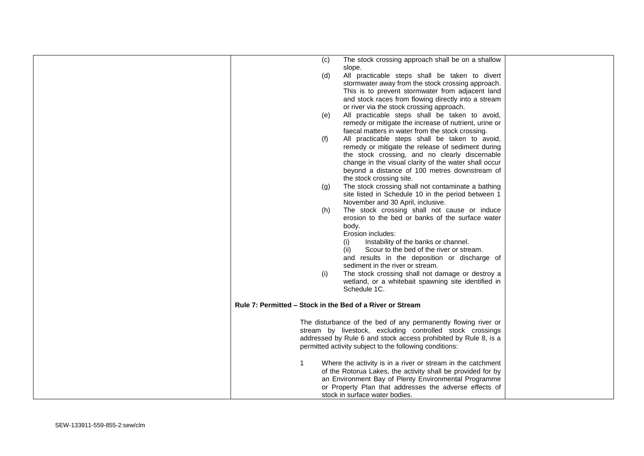|  | (c)          | The stock crossing approach shall be on a shallow                                                                                                                 |  |
|--|--------------|-------------------------------------------------------------------------------------------------------------------------------------------------------------------|--|
|  | (d)          | slope.<br>All practicable steps shall be taken to divert<br>stormwater away from the stock crossing approach.<br>This is to prevent stormwater from adjacent land |  |
|  |              | and stock races from flowing directly into a stream<br>or river via the stock crossing approach.                                                                  |  |
|  | (e)          | All practicable steps shall be taken to avoid,<br>remedy or mitigate the increase of nutrient, urine or                                                           |  |
|  |              | faecal matters in water from the stock crossing.                                                                                                                  |  |
|  | (f)          | All practicable steps shall be taken to avoid,<br>remedy or mitigate the release of sediment during                                                               |  |
|  |              | the stock crossing, and no clearly discernable                                                                                                                    |  |
|  |              | change in the visual clarity of the water shall occur<br>beyond a distance of 100 metres downstream of                                                            |  |
|  |              | the stock crossing site.                                                                                                                                          |  |
|  | (g)          | The stock crossing shall not contaminate a bathing<br>site listed in Schedule 10 in the period between 1                                                          |  |
|  |              | November and 30 April, inclusive.                                                                                                                                 |  |
|  | (h)          | The stock crossing shall not cause or induce<br>erosion to the bed or banks of the surface water                                                                  |  |
|  |              | body.                                                                                                                                                             |  |
|  |              | Erosion includes:<br>(i)<br>Instability of the banks or channel.                                                                                                  |  |
|  |              | (ii)<br>Scour to the bed of the river or stream.                                                                                                                  |  |
|  |              | and results in the deposition or discharge of<br>sediment in the river or stream.                                                                                 |  |
|  | (i)          | The stock crossing shall not damage or destroy a<br>wetland, or a whitebait spawning site identified in                                                           |  |
|  |              | Schedule 1C.                                                                                                                                                      |  |
|  |              | Rule 7: Permitted – Stock in the Bed of a River or Stream                                                                                                         |  |
|  |              |                                                                                                                                                                   |  |
|  |              | The disturbance of the bed of any permanently flowing river or<br>stream by livestock, excluding controlled stock crossings                                       |  |
|  |              | addressed by Rule 6 and stock access prohibited by Rule 8, is a                                                                                                   |  |
|  |              | permitted activity subject to the following conditions:                                                                                                           |  |
|  | $\mathbf{1}$ | Where the activity is in a river or stream in the catchment                                                                                                       |  |
|  |              | of the Rotorua Lakes, the activity shall be provided for by<br>an Environment Bay of Plenty Environmental Programme                                               |  |
|  |              | or Property Plan that addresses the adverse effects of                                                                                                            |  |
|  |              | stock in surface water bodies.                                                                                                                                    |  |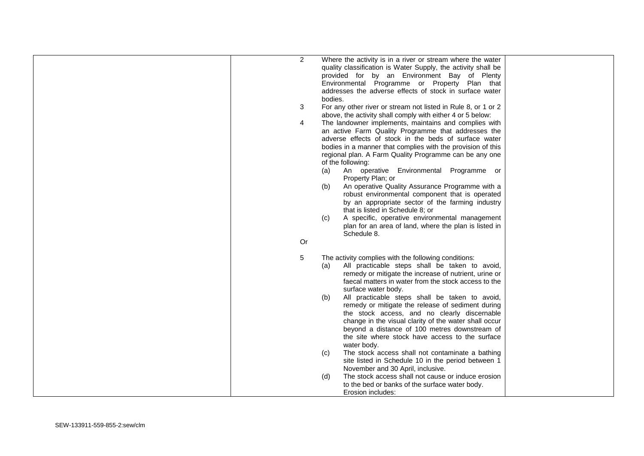| 2<br>3<br>4<br>Or | Where the activity is in a river or stream where the water<br>quality classification is Water Supply, the activity shall be<br>provided for by an Environment Bay of Plenty<br>Environmental Programme or Property Plan that<br>addresses the adverse effects of stock in surface water<br>bodies.<br>For any other river or stream not listed in Rule 8, or 1 or 2<br>above, the activity shall comply with either 4 or 5 below:<br>The landowner implements, maintains and complies with<br>an active Farm Quality Programme that addresses the<br>adverse effects of stock in the beds of surface water<br>bodies in a manner that complies with the provision of this<br>regional plan. A Farm Quality Programme can be any one<br>of the following:<br>An operative Environmental Programme or<br>(a)<br>Property Plan; or<br>An operative Quality Assurance Programme with a<br>(b)<br>robust environmental component that is operated<br>by an appropriate sector of the farming industry<br>that is listed in Schedule 8: or<br>A specific, operative environmental management<br>(c)<br>plan for an area of land, where the plan is listed in<br>Schedule 8. |  |
|-------------------|-----------------------------------------------------------------------------------------------------------------------------------------------------------------------------------------------------------------------------------------------------------------------------------------------------------------------------------------------------------------------------------------------------------------------------------------------------------------------------------------------------------------------------------------------------------------------------------------------------------------------------------------------------------------------------------------------------------------------------------------------------------------------------------------------------------------------------------------------------------------------------------------------------------------------------------------------------------------------------------------------------------------------------------------------------------------------------------------------------------------------------------------------------------------------|--|
| 5                 | The activity complies with the following conditions:<br>All practicable steps shall be taken to avoid,<br>(a)<br>remedy or mitigate the increase of nutrient, urine or<br>faecal matters in water from the stock access to the<br>surface water body.<br>All practicable steps shall be taken to avoid,<br>(b)<br>remedy or mitigate the release of sediment during<br>the stock access, and no clearly discernable<br>change in the visual clarity of the water shall occur<br>beyond a distance of 100 metres downstream of<br>the site where stock have access to the surface<br>water body.<br>The stock access shall not contaminate a bathing<br>(c)<br>site listed in Schedule 10 in the period between 1<br>November and 30 April, inclusive.<br>The stock access shall not cause or induce erosion<br>(d)<br>to the bed or banks of the surface water body.<br>Erosion includes:                                                                                                                                                                                                                                                                             |  |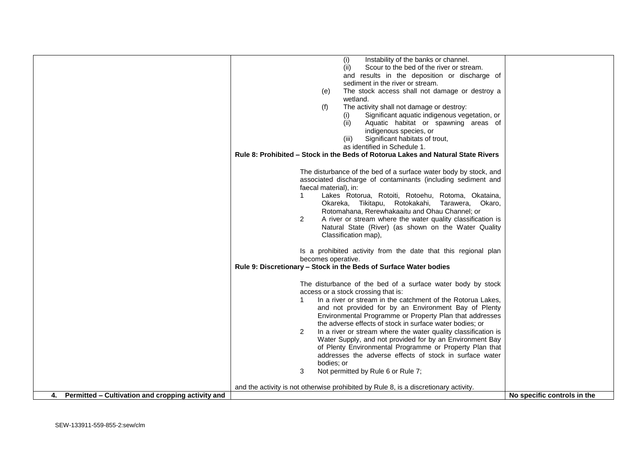|                                                         | Instability of the banks or channel.<br>(i)                                          |                             |
|---------------------------------------------------------|--------------------------------------------------------------------------------------|-----------------------------|
|                                                         | Scour to the bed of the river or stream.<br>(ii)                                     |                             |
|                                                         | and results in the deposition or discharge of                                        |                             |
|                                                         | sediment in the river or stream.                                                     |                             |
|                                                         | The stock access shall not damage or destroy a<br>(e)                                |                             |
|                                                         | wetland.                                                                             |                             |
|                                                         | The activity shall not damage or destroy:<br>(f)                                     |                             |
|                                                         | Significant aquatic indigenous vegetation, or<br>(1)                                 |                             |
|                                                         | Aquatic habitat or spawning areas of<br>(ii)                                         |                             |
|                                                         | indigenous species, or                                                               |                             |
|                                                         | Significant habitats of trout,<br>(iii)                                              |                             |
|                                                         | as identified in Schedule 1.                                                         |                             |
|                                                         | Rule 8: Prohibited – Stock in the Beds of Rotorua Lakes and Natural State Rivers     |                             |
|                                                         |                                                                                      |                             |
|                                                         |                                                                                      |                             |
|                                                         | The disturbance of the bed of a surface water body by stock, and                     |                             |
|                                                         | associated discharge of contaminants (including sediment and                         |                             |
|                                                         | faecal material), in:                                                                |                             |
|                                                         | Lakes Rotorua, Rotoiti, Rotoehu, Rotoma, Okataina,<br>1                              |                             |
|                                                         | Okareka, Tikitapu, Rotokakahi, Tarawera, Okaro,                                      |                             |
|                                                         | Rotomahana, Rerewhakaaitu and Ohau Channel; or                                       |                             |
|                                                         | $\overline{2}$<br>A river or stream where the water quality classification is        |                             |
|                                                         | Natural State (River) (as shown on the Water Quality                                 |                             |
|                                                         | Classification map),                                                                 |                             |
|                                                         |                                                                                      |                             |
|                                                         | Is a prohibited activity from the date that this regional plan                       |                             |
|                                                         | becomes operative.                                                                   |                             |
|                                                         | Rule 9: Discretionary - Stock in the Beds of Surface Water bodies                    |                             |
|                                                         |                                                                                      |                             |
|                                                         | The disturbance of the bed of a surface water body by stock                          |                             |
|                                                         | access or a stock crossing that is:                                                  |                             |
|                                                         | In a river or stream in the catchment of the Rotorua Lakes,                          |                             |
|                                                         | and not provided for by an Environment Bay of Plenty                                 |                             |
|                                                         | Environmental Programme or Property Plan that addresses                              |                             |
|                                                         | the adverse effects of stock in surface water bodies; or                             |                             |
|                                                         | 2<br>In a river or stream where the water quality classification is                  |                             |
|                                                         | Water Supply, and not provided for by an Environment Bay                             |                             |
|                                                         | of Plenty Environmental Programme or Property Plan that                              |                             |
|                                                         | addresses the adverse effects of stock in surface water                              |                             |
|                                                         | bodies; or                                                                           |                             |
|                                                         | 3<br>Not permitted by Rule 6 or Rule 7;                                              |                             |
|                                                         |                                                                                      |                             |
|                                                         | and the activity is not otherwise prohibited by Rule 8, is a discretionary activity. |                             |
| Permitted – Cultivation and cropping activity and<br>4. |                                                                                      | No specific controls in the |
|                                                         |                                                                                      |                             |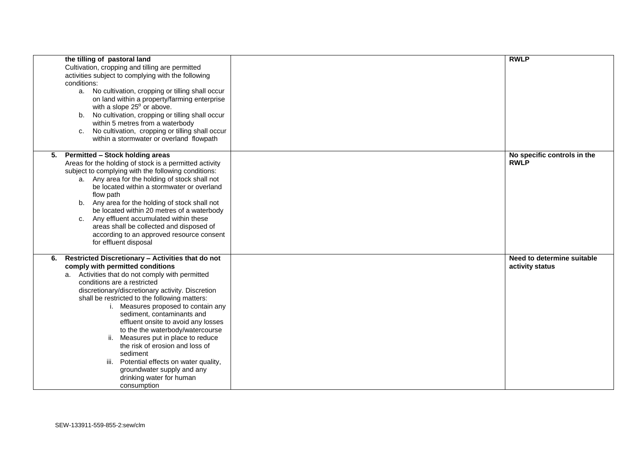|    | the tilling of pastoral land<br>Cultivation, cropping and tilling are permitted<br>activities subject to complying with the following<br>conditions:<br>a. No cultivation, cropping or tilling shall occur<br>on land within a property/farming enterprise<br>with a slope $25^{\circ}$ or above.<br>No cultivation, cropping or tilling shall occur<br>b.<br>within 5 metres from a waterbody<br>No cultivation, cropping or tilling shall occur<br>C.<br>within a stormwater or overland flowpath                                                                                                                                           | <b>RWLP</b>                                   |
|----|-----------------------------------------------------------------------------------------------------------------------------------------------------------------------------------------------------------------------------------------------------------------------------------------------------------------------------------------------------------------------------------------------------------------------------------------------------------------------------------------------------------------------------------------------------------------------------------------------------------------------------------------------|-----------------------------------------------|
| 5. | <b>Permitted - Stock holding areas</b><br>Areas for the holding of stock is a permitted activity<br>subject to complying with the following conditions:<br>a. Any area for the holding of stock shall not<br>be located within a stormwater or overland<br>flow path<br>b. Any area for the holding of stock shall not<br>be located within 20 metres of a waterbody<br>c. Any effluent accumulated within these<br>areas shall be collected and disposed of<br>according to an approved resource consent<br>for effluent disposal                                                                                                            | No specific controls in the<br><b>RWLP</b>    |
| 6. | Restricted Discretionary - Activities that do not<br>comply with permitted conditions<br>a. Activities that do not comply with permitted<br>conditions are a restricted<br>discretionary/discretionary activity. Discretion<br>shall be restricted to the following matters:<br>i. Measures proposed to contain any<br>sediment, contaminants and<br>effluent onsite to avoid any losses<br>to the the waterbody/watercourse<br>Measures put in place to reduce<br>ii.<br>the risk of erosion and loss of<br>sediment<br>iii.<br>Potential effects on water quality,<br>groundwater supply and any<br>drinking water for human<br>consumption | Need to determine suitable<br>activity status |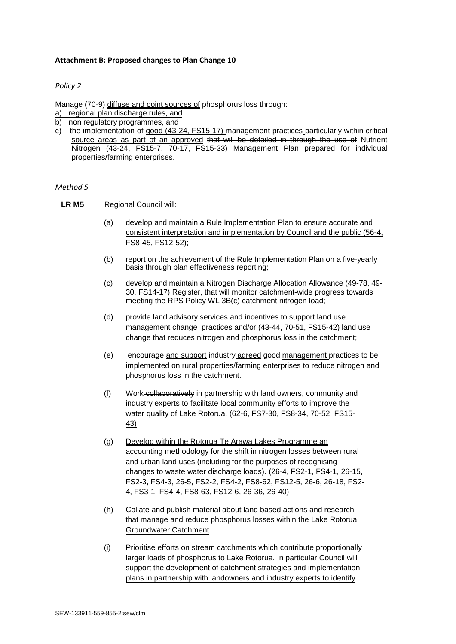#### **Attachment B: Proposed changes to Plan Change 10**

#### *Policy 2*

Manage (70-9) diffuse and point sources of phosphorus loss through:

- a) regional plan discharge rules, and
- b) non regulatory programmes, and
- c) the implementation of good (43-24, FS15-17) management practices particularly within critical source areas as part of an approved that will be detailed in through the use of Nutrient Nitrogen (43-24, FS15-7, 70-17, FS15-33) Management Plan prepared for individual properties/farming enterprises.

#### *Method 5*

- **LR M5** Regional Council will:
	- (a) develop and maintain a Rule Implementation Plan to ensure accurate and consistent interpretation and implementation by Council and the public (56-4, FS8-45, FS12-52);
	- (b) report on the achievement of the Rule Implementation Plan on a five-yearly basis through plan effectiveness reporting;
	- (c) develop and maintain a Nitrogen Discharge Allocation Allowance (49-78, 49- 30, FS14-17) Register, that will monitor catchment-wide progress towards meeting the RPS Policy WL 3B(c) catchment nitrogen load;
	- (d) provide land advisory services and incentives to support land use management change practices and/or (43-44, 70-51, FS15-42) land use change that reduces nitrogen and phosphorus loss in the catchment;
	- (e) encourage and support industry agreed good management practices to be implemented on rural properties/farming enterprises to reduce nitrogen and phosphorus loss in the catchment.
	- (f) Work collaboratively in partnership with land owners, community and industry experts to facilitate local community efforts to improve the water quality of Lake Rotorua. (62-6, FS7-30, FS8-34, 70-52, FS15- 43)
	- (g) Develop within the Rotorua Te Arawa Lakes Programme an accounting methodology for the shift in nitrogen losses between rural and urban land uses (including for the purposes of recognising changes to waste water discharge loads). (26-4, FS2-1, FS4-1, 26-15, FS2-3, FS4-3, 26-5, FS2-2, FS4-2, FS8-62, FS12-5, 26-6, 26-18, FS2- 4, FS3-1, FS4-4, FS8-63, FS12-6, 26-36, 26-40)
	- (h) Collate and publish material about land based actions and research that manage and reduce phosphorus losses within the Lake Rotorua Groundwater Catchment
	- (i) Prioritise efforts on stream catchments which contribute proportionally larger loads of phosphorus to Lake Rotorua. In particular Council will support the development of catchment strategies and implementation plans in partnership with landowners and industry experts to identify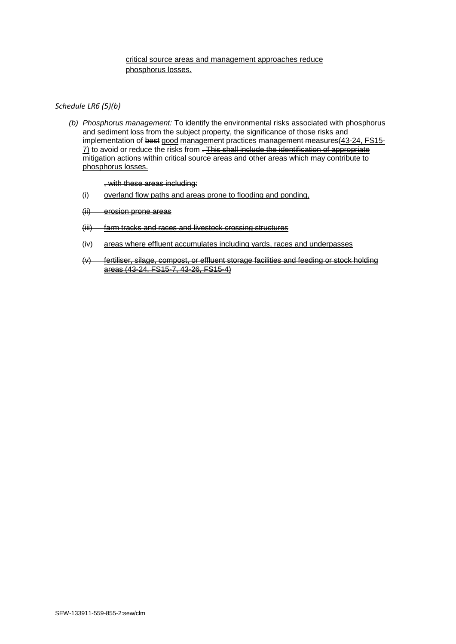#### critical source areas and management approaches reduce phosphorus losses.

#### *Schedule LR6 (5)(b)*

*(b) Phosphorus management:* To identify the environmental risks associated with phosphorus and sediment loss from the subject property, the significance of those risks and implementation of best good management practices management measures (43-24, FS15- $\overline{7}$  to avoid or reduce the risks from . This shall include the identification of appropriate mitigation actions within critical source areas and other areas which may contribute to phosphorus losses.

, with these areas including:

- (i) overland flow paths and areas prone to flooding and ponding,
- (ii) erosion prone areas
- (iii) farm tracks and races and livestock crossing structures
- (iv) areas where effluent accumulates including yards, races and underpasses
- (v) fertiliser, silage, compost, or effluent storage facilities and feeding or stock holding areas (43-24, FS15-7, 43-26, FS15-4)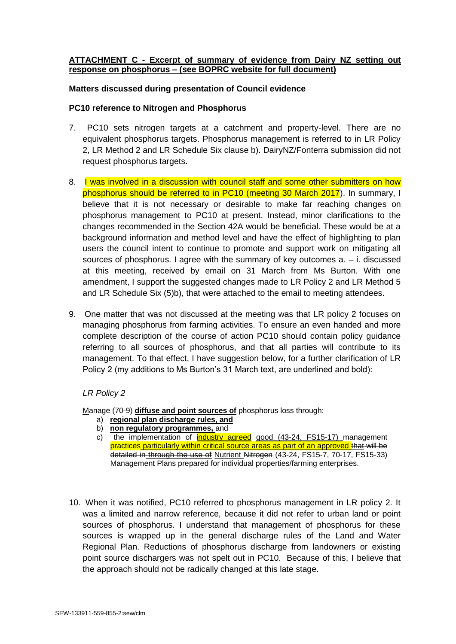## **ATTACHMENT C - Excerpt of summary of evidence from Dairy NZ setting out response on phosphorus – (see BOPRC website for full document)**

## **Matters discussed during presentation of Council evidence**

#### **PC10 reference to Nitrogen and Phosphorus**

- 7. PC10 sets nitrogen targets at a catchment and property-level. There are no equivalent phosphorus targets. Phosphorus management is referred to in LR Policy 2, LR Method 2 and LR Schedule Six clause b). DairyNZ/Fonterra submission did not request phosphorus targets.
- 8. I was involved in a discussion with council staff and some other submitters on how phosphorus should be referred to in PC10 (meeting 30 March 2017). In summary, I believe that it is not necessary or desirable to make far reaching changes on phosphorus management to PC10 at present. Instead, minor clarifications to the changes recommended in the Section 42A would be beneficial. These would be at a background information and method level and have the effect of highlighting to plan users the council intent to continue to promote and support work on mitigating all sources of phosphorus. I agree with the summary of key outcomes  $a - i$ . discussed at this meeting, received by email on 31 March from Ms Burton. With one amendment, I support the suggested changes made to LR Policy 2 and LR Method 5 and LR Schedule Six (5)b), that were attached to the email to meeting attendees.
- 9. One matter that was not discussed at the meeting was that LR policy 2 focuses on managing phosphorus from farming activities. To ensure an even handed and more complete description of the course of action PC10 should contain policy guidance referring to all sources of phosphorus, and that all parties will contribute to its management. To that effect, I have suggestion below, for a further clarification of LR Policy 2 (my additions to Ms Burton's 31 March text, are underlined and bold):

## *LR Policy 2*

Manage (70-9) **diffuse and point sources of** phosphorus loss through:

- a) **regional plan discharge rules, and**
- b) **non regulatory programmes,** and
- c) the implementation of industry agreed good (43-24, FS15-17) management practices particularly within critical source areas as part of an approved that will be detailed in through the use of Nutrient Nitrogen (43-24, FS15-7, 70-17, FS15-33) Management Plans prepared for individual properties/farming enterprises.
- 10. When it was notified, PC10 referred to phosphorus management in LR policy 2. It was a limited and narrow reference, because it did not refer to urban land or point sources of phosphorus. I understand that management of phosphorus for these sources is wrapped up in the general discharge rules of the Land and Water Regional Plan. Reductions of phosphorus discharge from landowners or existing point source dischargers was not spelt out in PC10. Because of this, I believe that the approach should not be radically changed at this late stage.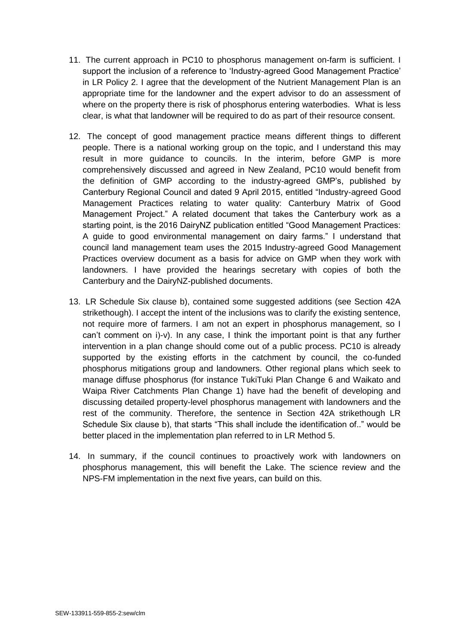- 11. The current approach in PC10 to phosphorus management on-farm is sufficient. I support the inclusion of a reference to 'Industry-agreed Good Management Practice' in LR Policy 2. I agree that the development of the Nutrient Management Plan is an appropriate time for the landowner and the expert advisor to do an assessment of where on the property there is risk of phosphorus entering waterbodies. What is less clear, is what that landowner will be required to do as part of their resource consent.
- 12. The concept of good management practice means different things to different people. There is a national working group on the topic, and I understand this may result in more guidance to councils. In the interim, before GMP is more comprehensively discussed and agreed in New Zealand, PC10 would benefit from the definition of GMP according to the industry-agreed GMP's, published by Canterbury Regional Council and dated 9 April 2015, entitled "Industry-agreed Good Management Practices relating to water quality: Canterbury Matrix of Good Management Project." A related document that takes the Canterbury work as a starting point, is the 2016 DairyNZ publication entitled "Good Management Practices: A guide to good environmental management on dairy farms." I understand that council land management team uses the 2015 Industry-agreed Good Management Practices overview document as a basis for advice on GMP when they work with landowners. I have provided the hearings secretary with copies of both the Canterbury and the DairyNZ-published documents.
- 13. LR Schedule Six clause b), contained some suggested additions (see Section 42A strikethough). I accept the intent of the inclusions was to clarify the existing sentence, not require more of farmers. I am not an expert in phosphorus management, so I can't comment on i)-v). In any case, I think the important point is that any further intervention in a plan change should come out of a public process. PC10 is already supported by the existing efforts in the catchment by council, the co-funded phosphorus mitigations group and landowners. Other regional plans which seek to manage diffuse phosphorus (for instance TukiTuki Plan Change 6 and Waikato and Waipa River Catchments Plan Change 1) have had the benefit of developing and discussing detailed property-level phosphorus management with landowners and the rest of the community. Therefore, the sentence in Section 42A strikethough LR Schedule Six clause b), that starts "This shall include the identification of.." would be better placed in the implementation plan referred to in LR Method 5.
- 14. In summary, if the council continues to proactively work with landowners on phosphorus management, this will benefit the Lake. The science review and the NPS-FM implementation in the next five years, can build on this.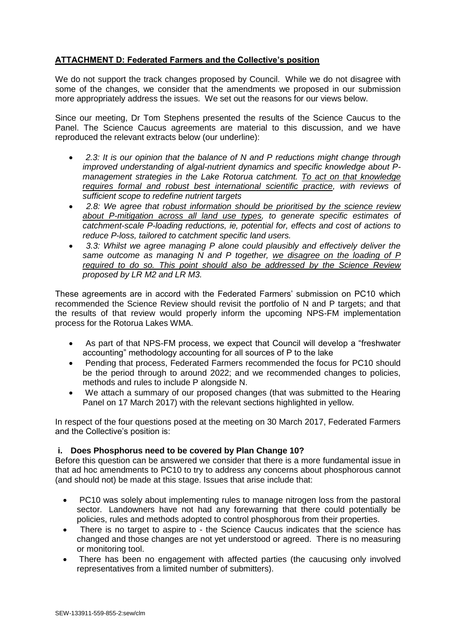# **ATTACHMENT D: Federated Farmers and the Collective's position**

We do not support the track changes proposed by Council. While we do not disagree with some of the changes, we consider that the amendments we proposed in our submission more appropriately address the issues. We set out the reasons for our views below.

Since our meeting, Dr Tom Stephens presented the results of the Science Caucus to the Panel. The Science Caucus agreements are material to this discussion, and we have reproduced the relevant extracts below (our underline):

- *2.3: It is our opinion that the balance of N and P reductions might change through improved understanding of algal-nutrient dynamics and specific knowledge about Pmanagement strategies in the Lake Rotorua catchment. To act on that knowledge requires formal and robust best international scientific practice, with reviews of sufficient scope to redefine nutrient targets*
- *2.8: We agree that robust information should be prioritised by the science review about P-mitigation across all land use types, to generate specific estimates of catchment-scale P-loading reductions, ie, potential for, effects and cost of actions to reduce P-loss, tailored to catchment specific land users.*
- *3.3: Whilst we agree managing P alone could plausibly and effectively deliver the same outcome as managing N and P together, we disagree on the loading of P required to do so. This point should also be addressed by the Science Review proposed by LR M2 and LR M3.*

These agreements are in accord with the Federated Farmers' submission on PC10 which recommended the Science Review should revisit the portfolio of N and P targets; and that the results of that review would properly inform the upcoming NPS-FM implementation process for the Rotorua Lakes WMA.

- As part of that NPS-FM process, we expect that Council will develop a "freshwater accounting" methodology accounting for all sources of P to the lake
- Pending that process, Federated Farmers recommended the focus for PC10 should be the period through to around 2022; and we recommended changes to policies, methods and rules to include P alongside N.
- We attach a summary of our proposed changes (that was submitted to the Hearing Panel on 17 March 2017) with the relevant sections highlighted in yellow.

In respect of the four questions posed at the meeting on 30 March 2017, Federated Farmers and the Collective's position is:

## **i. Does Phosphorus need to be covered by Plan Change 10?**

Before this question can be answered we consider that there is a more fundamental issue in that ad hoc amendments to PC10 to try to address any concerns about phosphorous cannot (and should not) be made at this stage. Issues that arise include that:

- PC10 was solely about implementing rules to manage nitrogen loss from the pastoral sector. Landowners have not had any forewarning that there could potentially be policies, rules and methods adopted to control phosphorous from their properties.
- There is no target to aspire to the Science Caucus indicates that the science has changed and those changes are not yet understood or agreed. There is no measuring or monitoring tool.
- There has been no engagement with affected parties (the caucusing only involved representatives from a limited number of submitters).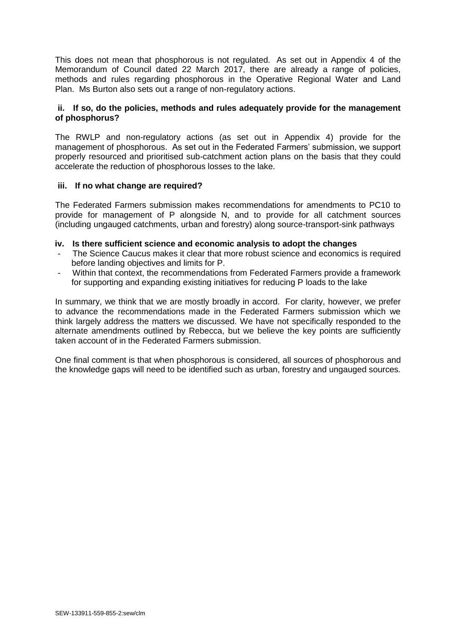This does not mean that phosphorous is not regulated. As set out in Appendix 4 of the Memorandum of Council dated 22 March 2017, there are already a range of policies, methods and rules regarding phosphorous in the Operative Regional Water and Land Plan. Ms Burton also sets out a range of non-regulatory actions.

## **ii. If so, do the policies, methods and rules adequately provide for the management of phosphorus?**

The RWLP and non-regulatory actions (as set out in Appendix 4) provide for the management of phosphorous. As set out in the Federated Farmers' submission, we support properly resourced and prioritised sub-catchment action plans on the basis that they could accelerate the reduction of phosphorous losses to the lake.

## **iii. If no what change are required?**

The Federated Farmers submission makes recommendations for amendments to PC10 to provide for management of P alongside N, and to provide for all catchment sources (including ungauged catchments, urban and forestry) along source-transport-sink pathways

## **iv. Is there sufficient science and economic analysis to adopt the changes**

- The Science Caucus makes it clear that more robust science and economics is required before landing objectives and limits for P.
- Within that context, the recommendations from Federated Farmers provide a framework for supporting and expanding existing initiatives for reducing P loads to the lake

In summary, we think that we are mostly broadly in accord. For clarity, however, we prefer to advance the recommendations made in the Federated Farmers submission which we think largely address the matters we discussed. We have not specifically responded to the alternate amendments outlined by Rebecca, but we believe the key points are sufficiently taken account of in the Federated Farmers submission.

One final comment is that when phosphorous is considered, all sources of phosphorous and the knowledge gaps will need to be identified such as urban, forestry and ungauged sources.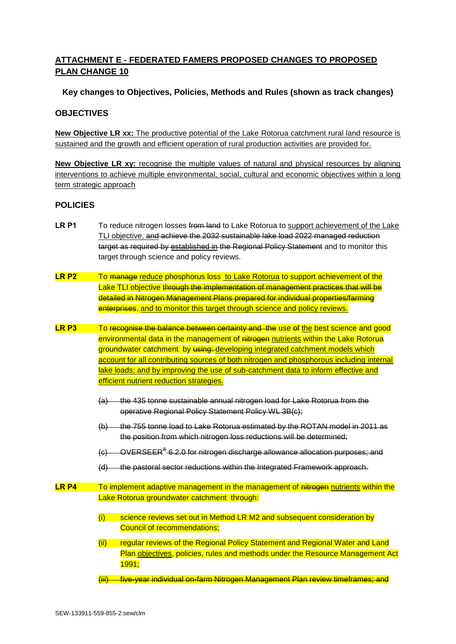# **ATTACHMENT E - FEDERATED FAMERS PROPOSED CHANGES TO PROPOSED PLAN CHANGE 10**

## **Key changes to Objectives, Policies, Methods and Rules (shown as track changes)**

## **OBJECTIVES**

**New Objective LR xx:** The productive potential of the Lake Rotorua catchment rural land resource is sustained and the growth and efficient operation of rural production activities are provided for.

**New Objective LR xy:** recognise the multiple values of natural and physical resources by aligning interventions to achieve multiple environmental, social, cultural and economic objectives within a long term strategic approach

## **POLICIES**

- LR P1 To reduce nitrogen losses from land to Lake Rotorua to support achievement of the Lake TLI objective, and achieve the 2032 sustainable lake load 2022 managed reduction target as required by established in the Regional Policy Statement and to monitor this target through science and policy reviews.
- **LR P2** To manage reduce phosphorus loss to Lake Rotorua to support achievement of the Lake TLI objective through the implementation of management practices that will be detailed in Nitrogen Management Plans prepared for individual properties/farming enterprises. and to monitor this target through science and policy reviews.
- **LR P3** To recognise the balance between certainty and the use of the best science and good environmental data in the management of nitrogen nutrients within the Lake Rotorua groundwater catchment by using: developing integrated catchment models which account for all contributing sources of both nitrogen and phosphorous including internal lake loads; and by improving the use of sub-catchment data to inform effective and efficient nutrient reduction strategies.
	- (a) the 435 tonne sustainable annual nitrogen load for Lake Rotorua from the operative Regional Policy Statement Policy WL 3B(c);
	- (b) the 755 tonne load to Lake Rotorua estimated by the ROTAN model in 2011 as the position from which nitrogen loss reductions will be determined;
	- (c) OVERSEER® 6.2.0 for nitrogen discharge allowance allocation purposes; and
	- (d) the pastoral sector reductions within the Integrated Framework approach.
- **LR P4** To implement adaptive management in the management of nitrogen nutrients within the Lake Rotorua groundwater catchment through:
	- (i) science reviews set out in Method LR M2 and subsequent consideration by Council of recommendations;
	- (ii) regular reviews of the Regional Policy Statement and Regional Water and Land Plan objectives, policies, rules and methods under the Resource Management Act 1991;
	- (iii) five-year individual on-farm Nitrogen Management Plan review timeframes; and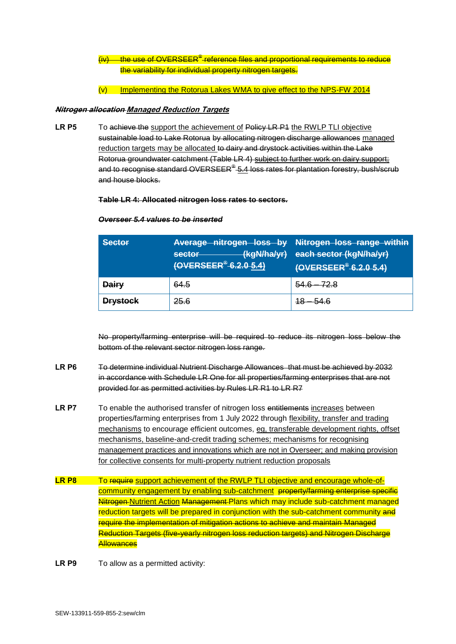- (iv) the use of OVERSEER®-reference files and proportional requirements to reduce the variability for individual property nitrogen targets.
- (v) Implementing the Rotorua Lakes WMA to give effect to the NPS-FW 2014

#### **Nitrogen allocation Managed Reduction Targets**

LR P5 To achieve the support the achievement of Policy LR P<sub>1</sub> the RWLP TLI objective sustainable load to Lake Rotorua by allocating nitrogen discharge allowances managed reduction targets may be allocated to dairy and drystock activities within the Lake Rotorua groundwater catchment (Table LR 4) subject to further work on dairy support; and to recognise standard OVERSEER® 5.4 loss rates for plantation forestry, bush/scrub and house blocks.

#### **Table LR 4: Allocated nitrogen loss rates to sectors.**

| <b>Sector</b>   | (kgN/ha/yr)<br>sector<br>(OVERSEER <sup>®</sup> -6.2.0 5.4) | Average nitrogen loss by Nitrogen loss range within<br>each sector (kgN/ha/yr)<br>(OVERSEER <sup>®</sup> -6.2.0-5.4) |
|-----------------|-------------------------------------------------------------|----------------------------------------------------------------------------------------------------------------------|
| <b>Dairy</b>    | 64.5                                                        |                                                                                                                      |
| <b>Drystock</b> | 25.6                                                        |                                                                                                                      |

#### *Overseer 5.4 values to be inserted*

No property/farming enterprise will be required to reduce its nitrogen loss below the bottom of the relevant sector nitrogen loss range.

- **LR P6** To determine individual Nutrient Discharge Allowances that must be achieved by 2032 in accordance with Schedule LR One for all properties/farming enterprises that are not provided for as permitted activities by Rules LR R1 to LR R7
- LR P7 To enable the authorised transfer of nitrogen loss entitlements increases between properties/farming enterprises from 1 July 2022 through flexibility, transfer and trading mechanisms to encourage efficient outcomes, eg, transferable development rights, offset mechanisms, baseline-and-credit trading schemes; mechanisms for recognising management practices and innovations which are not in Overseer; and making provision for collective consents for multi-property nutrient reduction proposals
- LR P8 To require support achievement of the RWLP TLI objective and encourage whole-ofcommunity engagement by enabling sub-catchment property/farming enterprise specific Nitrogen Nutrient Action Management-Plans which may include sub-catchment managed reduction targets will be prepared in conjunction with the sub-catchment community and require the implementation of mitigation actions to achieve and maintain Managed Reduction Targets (five-yearly nitrogen loss reduction targets) and Nitrogen Discharge **Allowances**
- LR P9 To allow as a permitted activity: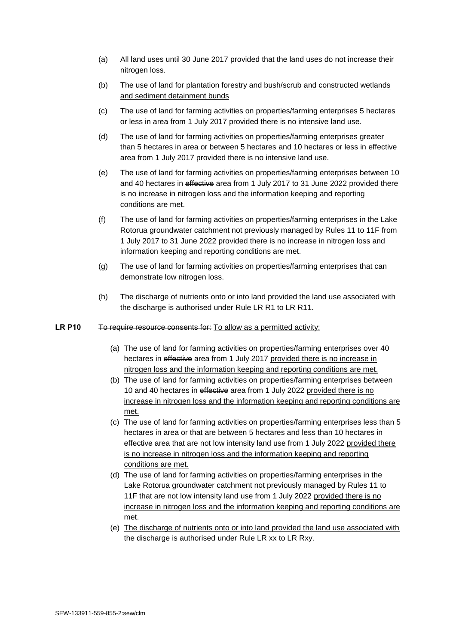- (a) All land uses until 30 June 2017 provided that the land uses do not increase their nitrogen loss.
- (b) The use of land for plantation forestry and bush/scrub and constructed wetlands and sediment detainment bunds
- (c) The use of land for farming activities on properties/farming enterprises 5 hectares or less in area from 1 July 2017 provided there is no intensive land use.
- (d) The use of land for farming activities on properties/farming enterprises greater than 5 hectares in area or between 5 hectares and 10 hectares or less in effective area from 1 July 2017 provided there is no intensive land use.
- (e) The use of land for farming activities on properties/farming enterprises between 10 and 40 hectares in effective area from 1 July 2017 to 31 June 2022 provided there is no increase in nitrogen loss and the information keeping and reporting conditions are met.
- (f) The use of land for farming activities on properties/farming enterprises in the Lake Rotorua groundwater catchment not previously managed by Rules 11 to 11F from 1 July 2017 to 31 June 2022 provided there is no increase in nitrogen loss and information keeping and reporting conditions are met.
- (g) The use of land for farming activities on properties/farming enterprises that can demonstrate low nitrogen loss.
- (h) The discharge of nutrients onto or into land provided the land use associated with the discharge is authorised under Rule LR R1 to LR R11.

#### LR P10 To require resource consents for: To allow as a permitted activity:

- (a) The use of land for farming activities on properties/farming enterprises over 40 hectares in effective area from 1 July 2017 provided there is no increase in nitrogen loss and the information keeping and reporting conditions are met.
- (b) The use of land for farming activities on properties/farming enterprises between 10 and 40 hectares in effective area from 1 July 2022 provided there is no increase in nitrogen loss and the information keeping and reporting conditions are met.
- (c) The use of land for farming activities on properties/farming enterprises less than 5 hectares in area or that are between 5 hectares and less than 10 hectares in effective area that are not low intensity land use from 1 July 2022 provided there is no increase in nitrogen loss and the information keeping and reporting conditions are met.
- (d) The use of land for farming activities on properties/farming enterprises in the Lake Rotorua groundwater catchment not previously managed by Rules 11 to 11F that are not low intensity land use from 1 July 2022 provided there is no increase in nitrogen loss and the information keeping and reporting conditions are met.
- (e) The discharge of nutrients onto or into land provided the land use associated with the discharge is authorised under Rule LR xx to LR Rxy.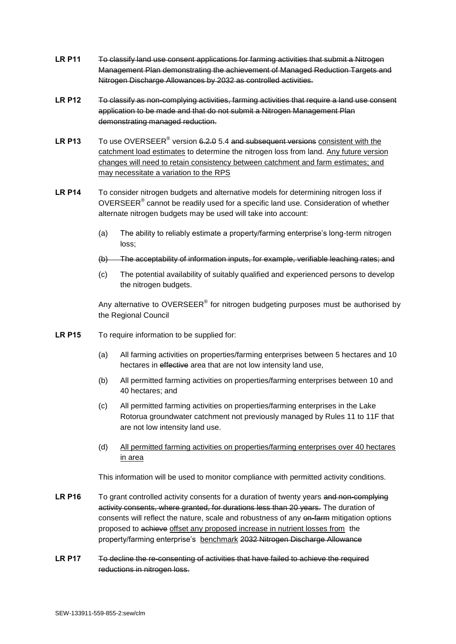- LR P11 To classify land use consent applications for farming activities that submit a Nitrogen Management Plan demonstrating the achievement of Managed Reduction Targets and Nitrogen Discharge Allowances by 2032 as controlled activities.
- **LR P12** To classify as non-complying activities, farming activities that require a land use consent application to be made and that do not submit a Nitrogen Management Plan demonstrating managed reduction.
- LR P13 To use OVERSEER<sup>®</sup> version 6.2.0 5.4 and subsequent versions consistent with the catchment load estimates to determine the nitrogen loss from land. Any future version changes will need to retain consistency between catchment and farm estimates; and may necessitate a variation to the RPS
- **LR P14** To consider nitrogen budgets and alternative models for determining nitrogen loss if OVERSEER $^{\circ}$  cannot be readily used for a specific land use. Consideration of whether alternate nitrogen budgets may be used will take into account:
	- (a) The ability to reliably estimate a property/farming enterprise's long-term nitrogen loss;
	- (b) The acceptability of information inputs, for example, verifiable leaching rates; and
	- (c) The potential availability of suitably qualified and experienced persons to develop the nitrogen budgets.

Any alternative to OVERSEER® for nitrogen budgeting purposes must be authorised by the Regional Council

- **LR P15** To require information to be supplied for:
	- (a) All farming activities on properties/farming enterprises between 5 hectares and 10 hectares in effective area that are not low intensity land use.
	- (b) All permitted farming activities on properties/farming enterprises between 10 and 40 hectares; and
	- (c) All permitted farming activities on properties/farming enterprises in the Lake Rotorua groundwater catchment not previously managed by Rules 11 to 11F that are not low intensity land use.
	- (d) All permitted farming activities on properties/farming enterprises over 40 hectares in area

This information will be used to monitor compliance with permitted activity conditions.

- **LR P16** To grant controlled activity consents for a duration of twenty years and non-complying activity consents, where granted, for durations less than 20 years. The duration of consents will reflect the nature, scale and robustness of any en-farm mitigation options proposed to achieve offset any proposed increase in nutrient losses from the property/farming enterprise's benchmark 2032 Nitrogen Discharge Allowance
- **LR P17** To decline the re-consenting of activities that have failed to achieve the required reductions in nitrogen loss.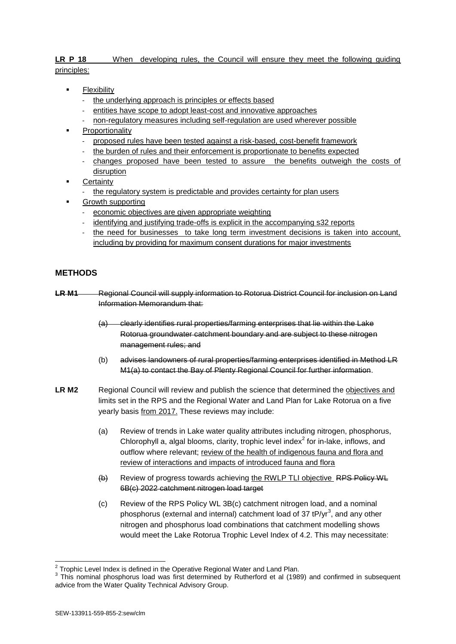## LR P 18 When developing rules, the Council will ensure they meet the following quiding principles:

- Flexibility
	- the underlying approach is principles or effects based
	- entities have scope to adopt least-cost and innovative approaches
	- non-regulatory measures including self-regulation are used wherever possible
- Proportionality
	- proposed rules have been tested against a risk-based, cost-benefit framework
	- the burden of rules and their enforcement is proportionate to benefits expected
	- changes proposed have been tested to assure the benefits outweigh the costs of disruption
- **Certainty** 
	- the regulatory system is predictable and provides certainty for plan users
- Growth supporting
	- economic objectives are given appropriate weighting
	- identifying and justifying trade-offs is explicit in the accompanying s32 reports
	- the need for businesses to take long term investment decisions is taken into account, including by providing for maximum consent durations for major investments

## **METHODS**

- LR M1 Regional Council will supply information to Rotorua District Council for inclusion on Land Information Memorandum that:
	- (a) clearly identifies rural properties/farming enterprises that lie within the Lake Rotorua groundwater catchment boundary and are subject to these nitrogen management rules; and
	- (b) advises landowners of rural properties/farming enterprises identified in Method LR M1(a) to contact the Bay of Plenty Regional Council for further information.
- LR M2 Regional Council will review and publish the science that determined the objectives and limits set in the RPS and the Regional Water and Land Plan for Lake Rotorua on a five yearly basis from 2017. These reviews may include:
	- (a) Review of trends in Lake water quality attributes including nitrogen, phosphorus, Chlorophyll a, algal blooms, clarity, trophic level index $2$  for in-lake, inflows, and outflow where relevant; review of the health of indigenous fauna and flora and review of interactions and impacts of introduced fauna and flora
	- (b) Review of progress towards achieving the RWLP TLI objective RPS Policy WL 6B(c) 2022 catchment nitrogen load target
	- (c) Review of the RPS Policy WL 3B(c) catchment nitrogen load, and a nominal phosphorus (external and internal) catchment load of 37 tP/yr<sup>3</sup>, and any other nitrogen and phosphorus load combinations that catchment modelling shows would meet the Lake Rotorua Trophic Level Index of 4.2. This may necessitate:

 2 Trophic Level Index is defined in the Operative Regional Water and Land Plan.

 $3$  This nominal phosphorus load was first determined by Rutherford et al (1989) and confirmed in subsequent advice from the Water Quality Technical Advisory Group.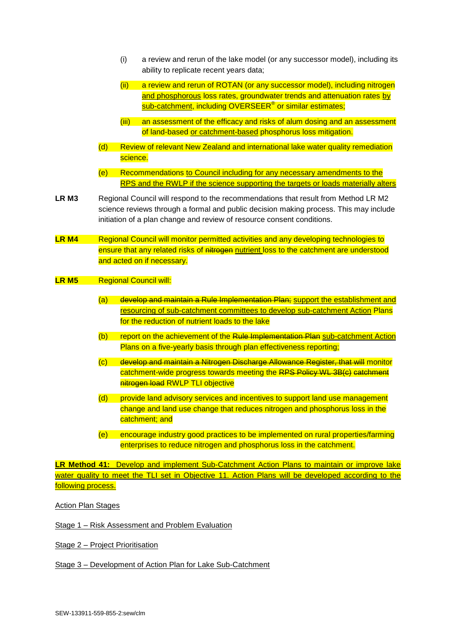- (i) a review and rerun of the lake model (or any successor model), including its ability to replicate recent years data;
- (ii) a review and rerun of ROTAN (or any successor model), including nitrogen and phosphorous loss rates, groundwater trends and attenuation rates by sub-catchment, including OVERSEER® or similar estimates;
- (iii) an assessment of the efficacy and risks of alum dosing and an assessment of land-based or catchment-based phosphorus loss mitigation.
- (d) Review of relevant New Zealand and international lake water quality remediation science.
- (e) Recommendations to Council including for any necessary amendments to the RPS and the RWLP if the science supporting the targets or loads materially alters
- LR M3 Regional Council will respond to the recommendations that result from Method LR M2 science reviews through a formal and public decision making process. This may include initiation of a plan change and review of resource consent conditions.
- **LR M4** Regional Council will monitor permitted activities and any developing technologies to ensure that any related risks of nitrogen nutrient loss to the catchment are understood and acted on if necessary.

#### **LR M5** Regional Council will:

- (a) develop and maintain a Rule Implementation Plan; support the establishment and resourcing of sub-catchment committees to develop sub-catchment Action Plans for the reduction of nutrient loads to the lake
- (b) report on the achievement of the Rule Implementation Plan sub-catchment Action Plans on a five-yearly basis through plan effectiveness reporting;
- (c) develop and maintain a Nitrogen Discharge Allowance Register, that will monitor catchment-wide progress towards meeting the RPS Policy WL 3B(c) catchment nitrogen load RWLP TLI objective
- (d) provide land advisory services and incentives to support land use management change and land use change that reduces nitrogen and phosphorus loss in the catchment; and
- (e) encourage industry good practices to be implemented on rural properties/farming enterprises to reduce nitrogen and phosphorus loss in the catchment.

**LR Method 41:** Develop and implement Sub-Catchment Action Plans to maintain or improve lake water quality to meet the TLI set in Objective 11. Action Plans will be developed according to the following process.

Action Plan Stages

Stage 1 – Risk Assessment and Problem Evaluation

Stage 2 – Project Prioritisation

Stage 3 – Development of Action Plan for Lake Sub-Catchment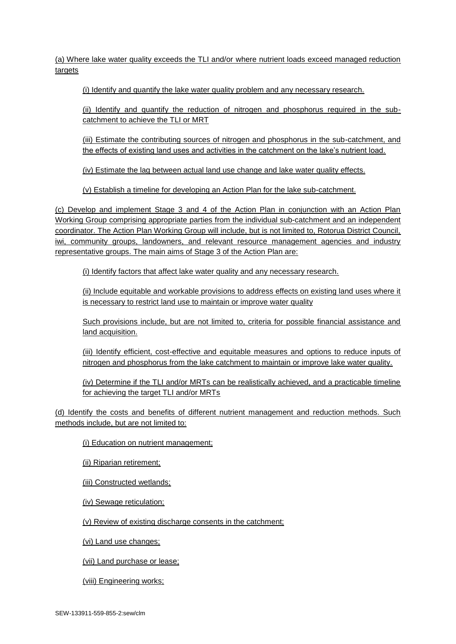(a) Where lake water quality exceeds the TLI and/or where nutrient loads exceed managed reduction targets

(i) Identify and quantify the lake water quality problem and any necessary research.

(ii) Identify and quantify the reduction of nitrogen and phosphorus required in the subcatchment to achieve the TLI or MRT

(iii) Estimate the contributing sources of nitrogen and phosphorus in the sub-catchment, and the effects of existing land uses and activities in the catchment on the lake's nutrient load.

(iv) Estimate the lag between actual land use change and lake water quality effects.

(v) Establish a timeline for developing an Action Plan for the lake sub-catchment.

(c) Develop and implement Stage 3 and 4 of the Action Plan in conjunction with an Action Plan Working Group comprising appropriate parties from the individual sub-catchment and an independent coordinator. The Action Plan Working Group will include, but is not limited to, Rotorua District Council, iwi, community groups, landowners, and relevant resource management agencies and industry representative groups. The main aims of Stage 3 of the Action Plan are:

(i) Identify factors that affect lake water quality and any necessary research.

(ii) Include equitable and workable provisions to address effects on existing land uses where it is necessary to restrict land use to maintain or improve water quality

Such provisions include, but are not limited to, criteria for possible financial assistance and land acquisition.

(iii) Identify efficient, cost-effective and equitable measures and options to reduce inputs of nitrogen and phosphorus from the lake catchment to maintain or improve lake water quality.

(iv) Determine if the TLI and/or MRTs can be realistically achieved, and a practicable timeline for achieving the target TLI and/or MRTs

(d) Identify the costs and benefits of different nutrient management and reduction methods. Such methods include, but are not limited to:

(i) Education on nutrient management;

(ii) Riparian retirement;

(iii) Constructed wetlands;

(iv) Sewage reticulation;

(v) Review of existing discharge consents in the catchment;

(vi) Land use changes;

(vii) Land purchase or lease;

(viii) Engineering works;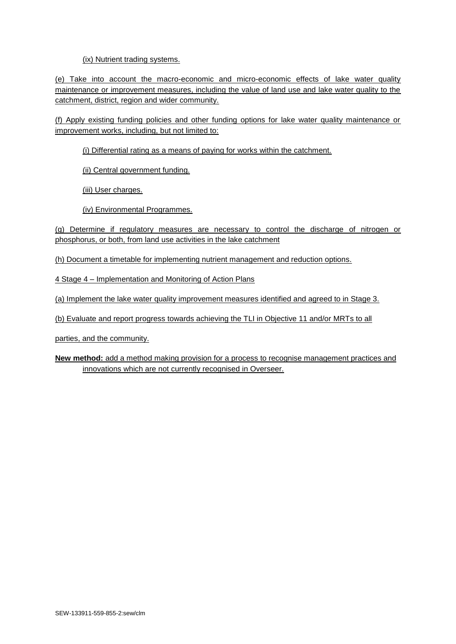## (ix) Nutrient trading systems.

(e) Take into account the macro-economic and micro-economic effects of lake water quality maintenance or improvement measures, including the value of land use and lake water quality to the catchment, district, region and wider community.

(f) Apply existing funding policies and other funding options for lake water quality maintenance or improvement works, including, but not limited to:

(i) Differential rating as a means of paying for works within the catchment.

(ii) Central government funding.

(iii) User charges.

(iv) Environmental Programmes.

(g) Determine if regulatory measures are necessary to control the discharge of nitrogen or phosphorus, or both, from land use activities in the lake catchment

(h) Document a timetable for implementing nutrient management and reduction options.

4 Stage 4 – Implementation and Monitoring of Action Plans

(a) Implement the lake water quality improvement measures identified and agreed to in Stage 3.

(b) Evaluate and report progress towards achieving the TLI in Objective 11 and/or MRTs to all

parties, and the community.

**New method:** add a method making provision for a process to recognise management practices and innovations which are not currently recognised in Overseer.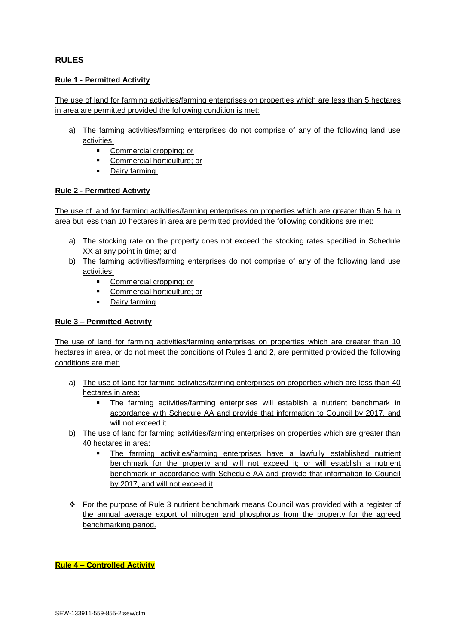## **RULES**

### **Rule 1 - Permitted Activity**

The use of land for farming activities/farming enterprises on properties which are less than 5 hectares in area are permitted provided the following condition is met:

- a) The farming activities/farming enterprises do not comprise of any of the following land use activities:
	- **Commercial cropping: or**
	- Commercial horticulture; or
	- Dairy farming.

## **Rule 2 - Permitted Activity**

The use of land for farming activities/farming enterprises on properties which are greater than 5 ha in area but less than 10 hectares in area are permitted provided the following conditions are met:

- a) The stocking rate on the property does not exceed the stocking rates specified in Schedule XX at any point in time; and
- b) The farming activities/farming enterprises do not comprise of any of the following land use activities:
	- Commercial cropping; or
	- Commercial horticulture; or
	- **Dairy farming**

#### **Rule 3 – Permitted Activity**

The use of land for farming activities/farming enterprises on properties which are greater than 10 hectares in area, or do not meet the conditions of Rules 1 and 2, are permitted provided the following conditions are met:

- a) The use of land for farming activities/farming enterprises on properties which are less than 40 hectares in area:
	- The farming activities/farming enterprises will establish a nutrient benchmark in accordance with Schedule AA and provide that information to Council by 2017, and will not exceed it
- b) The use of land for farming activities/farming enterprises on properties which are greater than 40 hectares in area:
	- The farming activities/farming enterprises have a lawfully established nutrient benchmark for the property and will not exceed it; or will establish a nutrient benchmark in accordance with Schedule AA and provide that information to Council by 2017, and will not exceed it
- For the purpose of Rule 3 nutrient benchmark means Council was provided with a register of the annual average export of nitrogen and phosphorus from the property for the agreed benchmarking period.

**Rule 4 – Controlled Activity**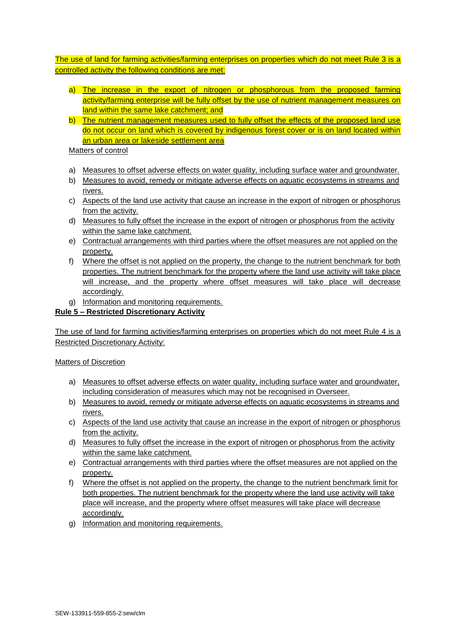The use of land for farming activities/farming enterprises on properties which do not meet Rule 3 is a controlled activity the following conditions are met:

- a) The increase in the export of nitrogen or phosphorous from the proposed farming activity/farming enterprise will be fully offset by the use of nutrient management measures on land within the same lake catchment; and
- b) The nutrient management measures used to fully offset the effects of the proposed land use do not occur on land which is covered by indigenous forest cover or is on land located within an urban area or lakeside settlement area

Matters of control

- a) Measures to offset adverse effects on water quality, including surface water and groundwater.
- b) Measures to avoid, remedy or mitigate adverse effects on aquatic ecosystems in streams and rivers.
- c) Aspects of the land use activity that cause an increase in the export of nitrogen or phosphorus from the activity.
- d) Measures to fully offset the increase in the export of nitrogen or phosphorus from the activity within the same lake catchment.
- e) Contractual arrangements with third parties where the offset measures are not applied on the property.
- f) Where the offset is not applied on the property, the change to the nutrient benchmark for both properties. The nutrient benchmark for the property where the land use activity will take place will increase, and the property where offset measures will take place will decrease accordingly.
- g) Information and monitoring requirements.

## **Rule 5 – Restricted Discretionary Activity**

The use of land for farming activities/farming enterprises on properties which do not meet Rule 4 is a Restricted Discretionary Activity:

#### Matters of Discretion

- a) Measures to offset adverse effects on water quality, including surface water and groundwater, including consideration of measures which may not be recognised in Overseer.
- b) Measures to avoid, remedy or mitigate adverse effects on aquatic ecosystems in streams and rivers.
- c) Aspects of the land use activity that cause an increase in the export of nitrogen or phosphorus from the activity.
- d) Measures to fully offset the increase in the export of nitrogen or phosphorus from the activity within the same lake catchment.
- e) Contractual arrangements with third parties where the offset measures are not applied on the property.
- f) Where the offset is not applied on the property, the change to the nutrient benchmark limit for both properties. The nutrient benchmark for the property where the land use activity will take place will increase, and the property where offset measures will take place will decrease accordingly.
- g) Information and monitoring requirements.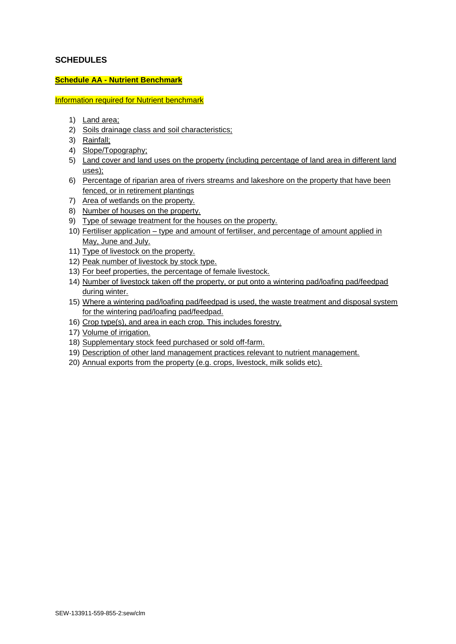## **SCHEDULES**

#### **Schedule AA - Nutrient Benchmark**

Information required for Nutrient benchmark

- 1) Land area;
- 2) Soils drainage class and soil characteristics;
- 3) Rainfall;
- 4) Slope/Topography;
- 5) Land cover and land uses on the property (including percentage of land area in different land uses);
- 6) Percentage of riparian area of rivers streams and lakeshore on the property that have been fenced, or in retirement plantings
- 7) Area of wetlands on the property.
- 8) Number of houses on the property.
- 9) Type of sewage treatment for the houses on the property.
- 10) Fertiliser application type and amount of fertiliser, and percentage of amount applied in May, June and July.
- 11) Type of livestock on the property.
- 12) Peak number of livestock by stock type.
- 13) For beef properties, the percentage of female livestock.
- 14) Number of livestock taken off the property, or put onto a wintering pad/loafing pad/feedpad during winter.
- 15) Where a wintering pad/loafing pad/feedpad is used, the waste treatment and disposal system for the wintering pad/loafing pad/feedpad.
- 16) Crop type(s), and area in each crop. This includes forestry.
- 17) Volume of irrigation.
- 18) Supplementary stock feed purchased or sold off-farm.
- 19) Description of other land management practices relevant to nutrient management.
- 20) Annual exports from the property (e.g. crops, livestock, milk solids etc).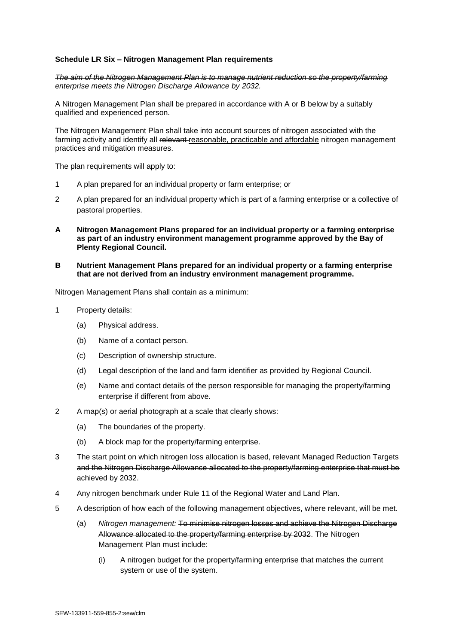#### **Schedule LR Six – Nitrogen Management Plan requirements**

#### *The aim of the Nitrogen Management Plan is to manage nutrient reduction so the property/farming enterprise meets the Nitrogen Discharge Allowance by 2032.*

A Nitrogen Management Plan shall be prepared in accordance with A or B below by a suitably qualified and experienced person.

The Nitrogen Management Plan shall take into account sources of nitrogen associated with the farming activity and identify all relevant-reasonable, practicable and affordable nitrogen management practices and mitigation measures.

The plan requirements will apply to:

- 1 A plan prepared for an individual property or farm enterprise; or
- 2 A plan prepared for an individual property which is part of a farming enterprise or a collective of pastoral properties.
- **A Nitrogen Management Plans prepared for an individual property or a farming enterprise as part of an industry environment management programme approved by the Bay of Plenty Regional Council.**
- **B Nutrient Management Plans prepared for an individual property or a farming enterprise that are not derived from an industry environment management programme.**

Nitrogen Management Plans shall contain as a minimum:

- 1 Property details:
	- (a) Physical address.
	- (b) Name of a contact person.
	- (c) Description of ownership structure.
	- (d) Legal description of the land and farm identifier as provided by Regional Council.
	- (e) Name and contact details of the person responsible for managing the property/farming enterprise if different from above.
- 2 A map(s) or aerial photograph at a scale that clearly shows:
	- (a) The boundaries of the property.
	- (b) A block map for the property/farming enterprise.
- 3 The start point on which nitrogen loss allocation is based, relevant Managed Reduction Targets and the Nitrogen Discharge Allowance allocated to the property/farming enterprise that must be achieved by 2032.
- 4 Any nitrogen benchmark under Rule 11 of the Regional Water and Land Plan.
- 5 A description of how each of the following management objectives, where relevant, will be met.
	- (a) *Nitrogen management:* To minimise nitrogen losses and achieve the Nitrogen Discharge Allowance allocated to the property/farming enterprise by 2032. The Nitrogen Management Plan must include:
		- (i) A nitrogen budget for the property/farming enterprise that matches the current system or use of the system.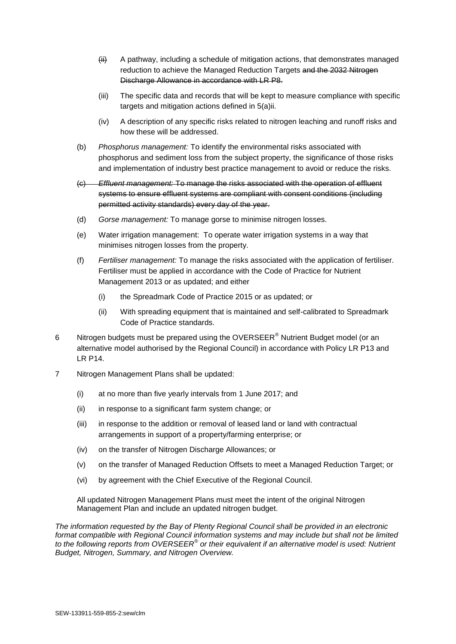- $\overline{f}$  A pathway, including a schedule of mitigation actions, that demonstrates managed reduction to achieve the Managed Reduction Targets and the 2032 Nitrogen Discharge Allowance in accordance with LR P8.
- (iii) The specific data and records that will be kept to measure compliance with specific targets and mitigation actions defined in 5(a)ii.
- (iv) A description of any specific risks related to nitrogen leaching and runoff risks and how these will be addressed.
- (b) *Phosphorus management:* To identify the environmental risks associated with phosphorus and sediment loss from the subject property, the significance of those risks and implementation of industry best practice management to avoid or reduce the risks.
- (c) *Effluent management:* To manage the risks associated with the operation of effluent systems to ensure effluent systems are compliant with consent conditions (including permitted activity standards) every day of the year.
- (d) *Gorse management:* To manage gorse to minimise nitrogen losses.
- (e) Water irrigation management: To operate water irrigation systems in a way that minimises nitrogen losses from the property.
- (f) *Fertiliser management:* To manage the risks associated with the application of fertiliser. Fertiliser must be applied in accordance with the Code of Practice for Nutrient Management 2013 or as updated; and either
	- (i) the Spreadmark Code of Practice 2015 or as updated; or
	- (ii) With spreading equipment that is maintained and self-calibrated to Spreadmark Code of Practice standards.
- 6 Nitrogen budgets must be prepared using the OVERSEER<sup>®</sup> Nutrient Budget model (or an alternative model authorised by the Regional Council) in accordance with Policy LR P13 and LR P14.
- 7 Nitrogen Management Plans shall be updated:
	- (i) at no more than five yearly intervals from 1 June 2017; and
	- (ii) in response to a significant farm system change; or
	- (iii) in response to the addition or removal of leased land or land with contractual arrangements in support of a property/farming enterprise; or
	- (iv) on the transfer of Nitrogen Discharge Allowances; or
	- (v) on the transfer of Managed Reduction Offsets to meet a Managed Reduction Target; or
	- (vi) by agreement with the Chief Executive of the Regional Council.

All updated Nitrogen Management Plans must meet the intent of the original Nitrogen Management Plan and include an updated nitrogen budget.

*The information requested by the Bay of Plenty Regional Council shall be provided in an electronic format compatible with Regional Council information systems and may include but shall not be limited*  to the following reports from OVERSEER<sup>®</sup> or their equivalent if an alternative model is used: Nutrient *Budget, Nitrogen, Summary, and Nitrogen Overview.*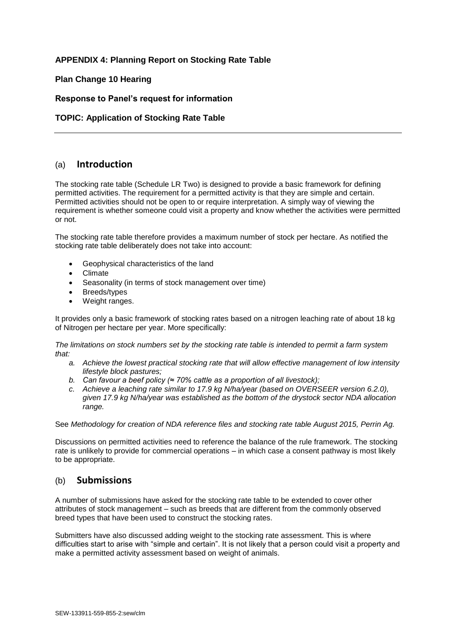## **APPENDIX 4: Planning Report on Stocking Rate Table**

## **Plan Change 10 Hearing**

## **Response to Panel's request for information**

## **TOPIC: Application of Stocking Rate Table**

## (a) **Introduction**

The stocking rate table (Schedule LR Two) is designed to provide a basic framework for defining permitted activities. The requirement for a permitted activity is that they are simple and certain. Permitted activities should not be open to or require interpretation. A simply way of viewing the requirement is whether someone could visit a property and know whether the activities were permitted or not.

The stocking rate table therefore provides a maximum number of stock per hectare. As notified the stocking rate table deliberately does not take into account:

- Geophysical characteristics of the land
- Climate
- Seasonality (in terms of stock management over time)
- Breeds/types
- Weight ranges.

It provides only a basic framework of stocking rates based on a nitrogen leaching rate of about 18 kg of Nitrogen per hectare per year. More specifically:

*The limitations on stock numbers set by the stocking rate table is intended to permit a farm system that:*

- *a. Achieve the lowest practical stocking rate that will allow effective management of low intensity lifestyle block pastures;*
- *b. Can favour a beef policy (≈ 70% cattle as a proportion of all livestock);*
- *c. Achieve a leaching rate similar to 17.9 kg N/ha/year (based on OVERSEER version 6.2.0), given 17.9 kg N/ha/year was established as the bottom of the drystock sector NDA allocation range.*

See *Methodology for creation of NDA reference files and stocking rate table August 2015, Perrin Ag.*

Discussions on permitted activities need to reference the balance of the rule framework. The stocking rate is unlikely to provide for commercial operations – in which case a consent pathway is most likely to be appropriate.

## (b) **Submissions**

A number of submissions have asked for the stocking rate table to be extended to cover other attributes of stock management – such as breeds that are different from the commonly observed breed types that have been used to construct the stocking rates.

Submitters have also discussed adding weight to the stocking rate assessment. This is where difficulties start to arise with "simple and certain". It is not likely that a person could visit a property and make a permitted activity assessment based on weight of animals.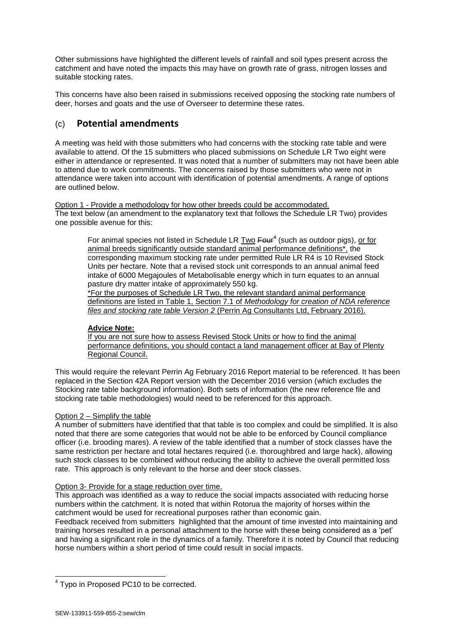Other submissions have highlighted the different levels of rainfall and soil types present across the catchment and have noted the impacts this may have on growth rate of grass, nitrogen losses and suitable stocking rates.

This concerns have also been raised in submissions received opposing the stocking rate numbers of deer, horses and goats and the use of Overseer to determine these rates.

# (c) **Potential amendments**

A meeting was held with those submitters who had concerns with the stocking rate table and were available to attend. Of the 15 submitters who placed submissions on Schedule LR Two eight were either in attendance or represented. It was noted that a number of submitters may not have been able to attend due to work commitments. The concerns raised by those submitters who were not in attendance were taken into account with identification of potential amendments. A range of options are outlined below.

Option 1 - Provide a methodology for how other breeds could be accommodated. The text below (an amendment to the explanatory text that follows the Schedule LR Two) provides one possible avenue for this:

For animal species not listed in Schedule LR Two Four<sup>4</sup> (such as outdoor pigs), or for animal breeds significantly outside standard animal performance definitions\*, the corresponding maximum stocking rate under permitted Rule LR R4 is 10 Revised Stock Units per hectare. Note that a revised stock unit corresponds to an annual animal feed intake of 6000 Megajoules of Metabolisable energy which in turn equates to an annual pasture dry matter intake of approximately 550 kg.

\*For the purposes of Schedule LR Two, the relevant standard animal performance definitions are listed in Table 1, Section 7.1 of *Methodology for creation of NDA reference files and stocking rate table Version 2* (Perrin Ag Consultants Ltd, February 2016).

#### **Advice Note:**

If you are not sure how to assess Revised Stock Units or how to find the animal performance definitions, you should contact a land management officer at Bay of Plenty Regional Council.

This would require the relevant Perrin Ag February 2016 Report material to be referenced. It has been replaced in the Section 42A Report version with the December 2016 version (which excludes the Stocking rate table background information). Both sets of information (the new reference file and stocking rate table methodologies) would need to be referenced for this approach.

#### Option 2 – Simplify the table

A number of submitters have identified that that table is too complex and could be simplified. It is also noted that there are some categories that would not be able to be enforced by Council compliance officer (i.e. brooding mares). A review of the table identified that a number of stock classes have the same restriction per hectare and total hectares required (i.e. thoroughbred and large hack), allowing such stock classes to be combined without reducing the ability to achieve the overall permitted loss rate. This approach is only relevant to the horse and deer stock classes.

#### Option 3- Provide for a stage reduction over time.

This approach was identified as a way to reduce the social impacts associated with reducing horse numbers within the catchment. It is noted that within Rotorua the majority of horses within the catchment would be used for recreational purposes rather than economic gain.

Feedback received from submitters highlighted that the amount of time invested into maintaining and training horses resulted in a personal attachment to the horse with these being considered as a 'pet' and having a significant role in the dynamics of a family. Therefore it is noted by Council that reducing horse numbers within a short period of time could result in social impacts.

<sup>-</sup><sup>4</sup> Typo in Proposed PC10 to be corrected.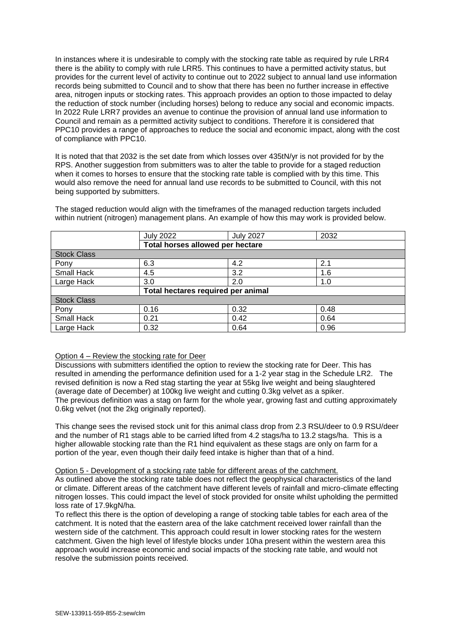In instances where it is undesirable to comply with the stocking rate table as required by rule LRR4 there is the ability to comply with rule LRR5. This continues to have a permitted activity status, but provides for the current level of activity to continue out to 2022 subject to annual land use information records being submitted to Council and to show that there has been no further increase in effective area, nitrogen inputs or stocking rates. This approach provides an option to those impacted to delay the reduction of stock number (including horses) belong to reduce any social and economic impacts. In 2022 Rule LRR7 provides an avenue to continue the provision of annual land use information to Council and remain as a permitted activity subject to conditions. Therefore it is considered that PPC10 provides a range of approaches to reduce the social and economic impact, along with the cost of compliance with PPC10.

It is noted that that 2032 is the set date from which losses over 435tN/yr is not provided for by the RPS. Another suggestion from submitters was to alter the table to provide for a staged reduction when it comes to horses to ensure that the stocking rate table is complied with by this time. This would also remove the need for annual land use records to be submitted to Council, with this not being supported by submitters.

|                    | <b>July 2022</b>                   | <b>July 2027</b> | 2032 |  |
|--------------------|------------------------------------|------------------|------|--|
|                    | Total horses allowed per hectare   |                  |      |  |
| <b>Stock Class</b> |                                    |                  |      |  |
| Pony               | 6.3                                | 4.2              | 2.1  |  |
| Small Hack         | 4.5                                | 3.2              | 1.6  |  |
| Large Hack         | 3.0                                | 2.0              | 1.0  |  |
|                    | Total hectares required per animal |                  |      |  |
| <b>Stock Class</b> |                                    |                  |      |  |
| Pony               | 0.16                               | 0.32             | 0.48 |  |
| Small Hack         | 0.21                               | 0.42             | 0.64 |  |
| Large Hack         | 0.32                               | 0.64             | 0.96 |  |

The staged reduction would align with the timeframes of the managed reduction targets included within nutrient (nitrogen) management plans. An example of how this may work is provided below.

#### Option 4 – Review the stocking rate for Deer

Discussions with submitters identified the option to review the stocking rate for Deer. This has resulted in amending the performance definition used for a 1-2 year stag in the Schedule LR2. The revised definition is now a Red stag starting the year at 55kg live weight and being slaughtered (average date of December) at 100kg live weight and cutting 0.3kg velvet as a spiker. The previous definition was a stag on farm for the whole year, growing fast and cutting approximately 0.6kg velvet (not the 2kg originally reported).

This change sees the revised stock unit for this animal class drop from 2.3 RSU/deer to 0.9 RSU/deer and the number of R1 stags able to be carried lifted from 4.2 stags/ha to 13.2 stags/ha. This is a higher allowable stocking rate than the R1 hind equivalent as these stags are only on farm for a portion of the year, even though their daily feed intake is higher than that of a hind.

#### Option 5 - Development of a stocking rate table for different areas of the catchment.

As outlined above the stocking rate table does not reflect the geophysical characteristics of the land or climate. Different areas of the catchment have different levels of rainfall and micro-climate effecting nitrogen losses. This could impact the level of stock provided for onsite whilst upholding the permitted loss rate of 17.9kgN/ha.

To reflect this there is the option of developing a range of stocking table tables for each area of the catchment. It is noted that the eastern area of the lake catchment received lower rainfall than the western side of the catchment. This approach could result in lower stocking rates for the western catchment. Given the high level of lifestyle blocks under 10ha present within the western area this approach would increase economic and social impacts of the stocking rate table, and would not resolve the submission points received.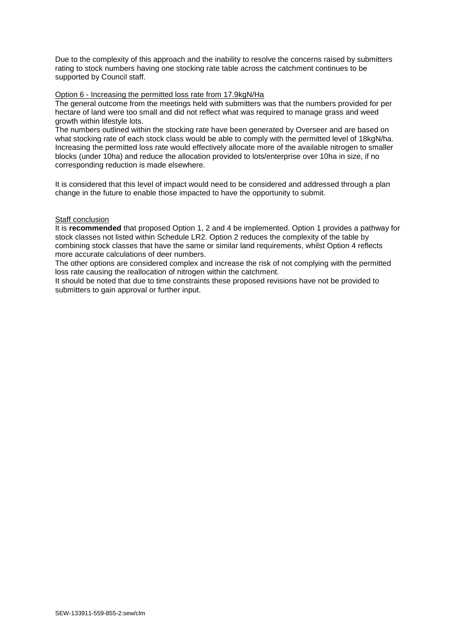Due to the complexity of this approach and the inability to resolve the concerns raised by submitters rating to stock numbers having one stocking rate table across the catchment continues to be supported by Council staff.

#### Option 6 - Increasing the permitted loss rate from 17.9kgN/Ha

The general outcome from the meetings held with submitters was that the numbers provided for per hectare of land were too small and did not reflect what was required to manage grass and weed growth within lifestyle lots.

The numbers outlined within the stocking rate have been generated by Overseer and are based on what stocking rate of each stock class would be able to comply with the permitted level of 18kgN/ha. Increasing the permitted loss rate would effectively allocate more of the available nitrogen to smaller blocks (under 10ha) and reduce the allocation provided to lots/enterprise over 10ha in size, if no corresponding reduction is made elsewhere.

It is considered that this level of impact would need to be considered and addressed through a plan change in the future to enable those impacted to have the opportunity to submit.

## **Staff conclusion**

It is **recommended** that proposed Option 1, 2 and 4 be implemented. Option 1 provides a pathway for stock classes not listed within Schedule LR2. Option 2 reduces the complexity of the table by combining stock classes that have the same or similar land requirements, whilst Option 4 reflects more accurate calculations of deer numbers.

The other options are considered complex and increase the risk of not complying with the permitted loss rate causing the reallocation of nitrogen within the catchment.

It should be noted that due to time constraints these proposed revisions have not be provided to submitters to gain approval or further input.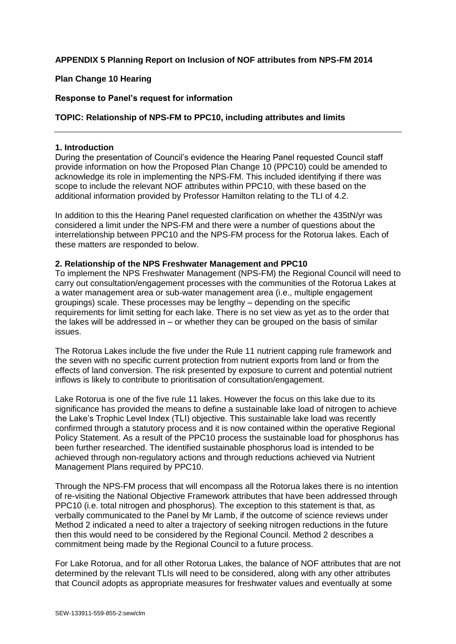## **APPENDIX 5 Planning Report on Inclusion of NOF attributes from NPS-FM 2014**

## **Plan Change 10 Hearing**

## **Response to Panel's request for information**

## **TOPIC: Relationship of NPS-FM to PPC10, including attributes and limits**

#### **1. Introduction**

During the presentation of Council's evidence the Hearing Panel requested Council staff provide information on how the Proposed Plan Change 10 (PPC10) could be amended to acknowledge its role in implementing the NPS-FM. This included identifying if there was scope to include the relevant NOF attributes within PPC10, with these based on the additional information provided by Professor Hamilton relating to the TLI of 4.2.

In addition to this the Hearing Panel requested clarification on whether the 435tN/yr was considered a limit under the NPS-FM and there were a number of questions about the interrelationship between PPC10 and the NPS-FM process for the Rotorua lakes. Each of these matters are responded to below.

#### **2. Relationship of the NPS Freshwater Management and PPC10**

To implement the NPS Freshwater Management (NPS-FM) the Regional Council will need to carry out consultation/engagement processes with the communities of the Rotorua Lakes at a water management area or sub-water management area (i.e., multiple engagement groupings) scale. These processes may be lengthy – depending on the specific requirements for limit setting for each lake. There is no set view as yet as to the order that the lakes will be addressed in – or whether they can be grouped on the basis of similar issues.

The Rotorua Lakes include the five under the Rule 11 nutrient capping rule framework and the seven with no specific current protection from nutrient exports from land or from the effects of land conversion. The risk presented by exposure to current and potential nutrient inflows is likely to contribute to prioritisation of consultation/engagement.

Lake Rotorua is one of the five rule 11 lakes. However the focus on this lake due to its significance has provided the means to define a sustainable lake load of nitrogen to achieve the Lake's Trophic Level Index (TLI) objective. This sustainable lake load was recently confirmed through a statutory process and it is now contained within the operative Regional Policy Statement. As a result of the PPC10 process the sustainable load for phosphorus has been further researched. The identified sustainable phosphorus load is intended to be achieved through non-regulatory actions and through reductions achieved via Nutrient Management Plans required by PPC10.

Through the NPS-FM process that will encompass all the Rotorua lakes there is no intention of re-visiting the National Objective Framework attributes that have been addressed through PPC10 (i.e. total nitrogen and phosphorus). The exception to this statement is that, as verbally communicated to the Panel by Mr Lamb, if the outcome of science reviews under Method 2 indicated a need to alter a trajectory of seeking nitrogen reductions in the future then this would need to be considered by the Regional Council. Method 2 describes a commitment being made by the Regional Council to a future process.

For Lake Rotorua, and for all other Rotorua Lakes, the balance of NOF attributes that are not determined by the relevant TLIs will need to be considered, along with any other attributes that Council adopts as appropriate measures for freshwater values and eventually at some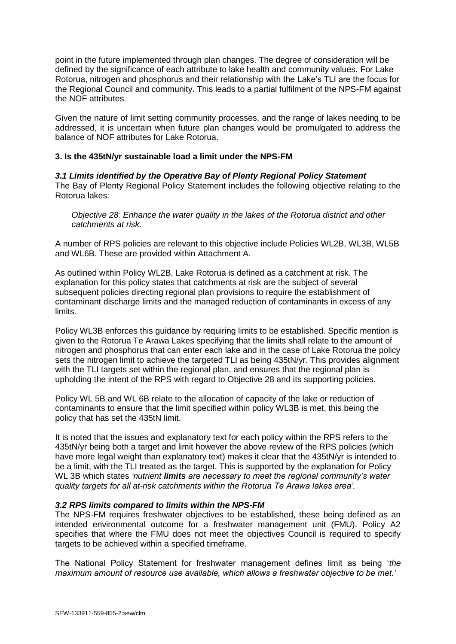point in the future implemented through plan changes. The degree of consideration will be defined by the significance of each attribute to lake health and community values. For Lake Rotorua, nitrogen and phosphorus and their relationship with the Lake's TLI are the focus for the Regional Council and community. This leads to a partial fulfilment of the NPS-FM against the NOF attributes.

Given the nature of limit setting community processes, and the range of lakes needing to be addressed, it is uncertain when future plan changes would be promulgated to address the balance of NOF attributes for Lake Rotorua.

## **3. Is the 435tN/yr sustainable load a limit under the NPS-FM**

*3.1 Limits identified by the Operative Bay of Plenty Regional Policy Statement* The Bay of Plenty Regional Policy Statement includes the following objective relating to the Rotorua lakes:

*Objective 28: Enhance the water quality in the lakes of the Rotorua district and other catchments at risk.*

A number of RPS policies are relevant to this objective include Policies WL2B, WL3B, WL5B and WL6B. These are provided within Attachment A.

As outlined within Policy WL2B, Lake Rotorua is defined as a catchment at risk. The explanation for this policy states that catchments at risk are the subject of several subsequent policies directing regional plan provisions to require the establishment of contaminant discharge limits and the managed reduction of contaminants in excess of any limits.

Policy WL3B enforces this guidance by requiring limits to be established. Specific mention is given to the Rotorua Te Arawa Lakes specifying that the limits shall relate to the amount of nitrogen and phosphorus that can enter each lake and in the case of Lake Rotorua the policy sets the nitrogen limit to achieve the targeted TLI as being 435tN/yr. This provides alignment with the TLI targets set within the regional plan, and ensures that the regional plan is upholding the intent of the RPS with regard to Objective 28 and its supporting policies.

Policy WL 5B and WL 6B relate to the allocation of capacity of the lake or reduction of contaminants to ensure that the limit specified within policy WL3B is met, this being the policy that has set the 435tN limit.

It is noted that the issues and explanatory text for each policy within the RPS refers to the 435tN/yr being both a target and limit however the above review of the RPS policies (which have more legal weight than explanatory text) makes it clear that the 435tN/yr is intended to be a limit, with the TLI treated as the target. This is supported by the explanation for Policy WL 3B which states *'nutrient limits are necessary to meet the regional community's water quality targets for all at-risk catchments within the Rotorua Te Arawa lakes area'.* 

#### *3.2 RPS limits compared to limits within the NPS-FM*

The NPS-FM requires freshwater objectives to be established, these being defined as an intended environmental outcome for a freshwater management unit (FMU). Policy A2 specifies that where the FMU does not meet the objectives Council is required to specify targets to be achieved within a specified timeframe.

The National Policy Statement for freshwater management defines limit as being '*the maximum amount of resource use available, which allows a freshwater objective to be met.'*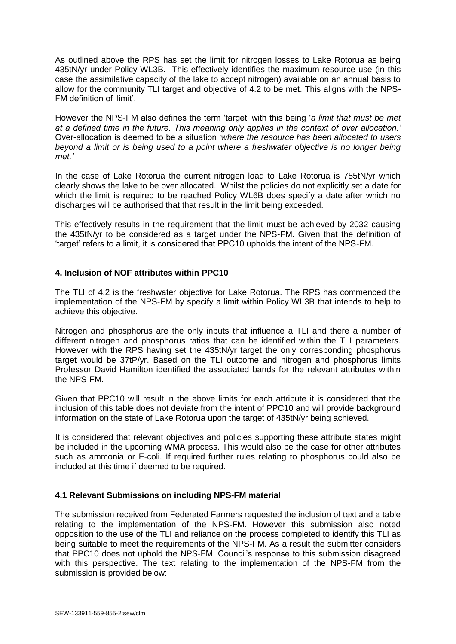As outlined above the RPS has set the limit for nitrogen losses to Lake Rotorua as being 435tN/yr under Policy WL3B. This effectively identifies the maximum resource use (in this case the assimilative capacity of the lake to accept nitrogen) available on an annual basis to allow for the community TLI target and objective of 4.2 to be met. This aligns with the NPS-FM definition of 'limit'.

However the NPS-FM also defines the term 'target' with this being '*a limit that must be met at a defined time in the future. This meaning only applies in the context of over allocation.'*  Over-allocation is deemed to be a situation '*where the resource has been allocated to users beyond a limit or is being used to a point where a freshwater objective is no longer being met.'* 

In the case of Lake Rotorua the current nitrogen load to Lake Rotorua is 755tN/yr which clearly shows the lake to be over allocated. Whilst the policies do not explicitly set a date for which the limit is required to be reached Policy WL6B does specify a date after which no discharges will be authorised that that result in the limit being exceeded.

This effectively results in the requirement that the limit must be achieved by 2032 causing the 435tN/yr to be considered as a target under the NPS-FM. Given that the definition of 'target' refers to a limit, it is considered that PPC10 upholds the intent of the NPS-FM.

## **4. Inclusion of NOF attributes within PPC10**

The TLI of 4.2 is the freshwater objective for Lake Rotorua. The RPS has commenced the implementation of the NPS-FM by specify a limit within Policy WL3B that intends to help to achieve this objective.

Nitrogen and phosphorus are the only inputs that influence a TLI and there a number of different nitrogen and phosphorus ratios that can be identified within the TLI parameters. However with the RPS having set the 435tN/yr target the only corresponding phosphorus target would be 37tP/yr. Based on the TLI outcome and nitrogen and phosphorus limits Professor David Hamilton identified the associated bands for the relevant attributes within the NPS-FM.

Given that PPC10 will result in the above limits for each attribute it is considered that the inclusion of this table does not deviate from the intent of PPC10 and will provide background information on the state of Lake Rotorua upon the target of 435tN/yr being achieved.

It is considered that relevant objectives and policies supporting these attribute states might be included in the upcoming WMA process. This would also be the case for other attributes such as ammonia or E-coli. If required further rules relating to phosphorus could also be included at this time if deemed to be required.

## **4.1 Relevant Submissions on including NPS-FM material**

The submission received from Federated Farmers requested the inclusion of text and a table relating to the implementation of the NPS-FM. However this submission also noted opposition to the use of the TLI and reliance on the process completed to identify this TLI as being suitable to meet the requirements of the NPS-FM. As a result the submitter considers that PPC10 does not uphold the NPS-FM. Council's response to this submission disagreed with this perspective. The text relating to the implementation of the NPS-FM from the submission is provided below: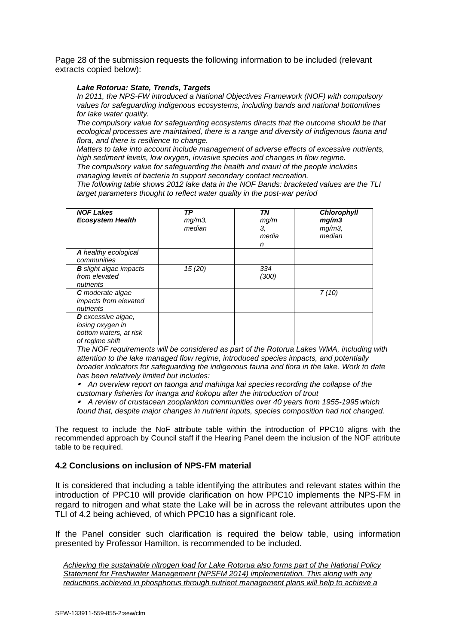Page 28 of the submission requests the following information to be included (relevant extracts copied below):

#### *Lake Rotorua: State, Trends, Targets*

*In 2011, the NPS-FW introduced a National Objectives Framework (NOF) with compulsory values for safeguarding indigenous ecosystems, including bands and national bottomlines for lake water quality.* 

*The compulsory value for safeguarding ecosystems directs that the outcome should be that ecological processes are maintained, there is a range and diversity of indigenous fauna and flora, and there is resilience to change.* 

*Matters to take into account include management of adverse effects of excessive nutrients, high sediment levels, low oxygen, invasive species and changes in flow regime.* 

*The compulsory value for safeguarding the health and mauri of the people includes managing levels of bacteria to support secondary contact recreation.* 

*The following table shows 2012 lake data in the NOF Bands: bracketed values are the TLI target parameters thought to reflect water quality in the post-war period*

| <b>NOF Lakes</b><br><b>Ecosystem Health</b>                                                | ТP<br>$mg/m3$ ,<br>median | ΤN<br>mq/m<br>3,<br>media<br>n | <b>Chlorophyll</b><br>mg/m3<br>$mg/m3$ ,<br>median |
|--------------------------------------------------------------------------------------------|---------------------------|--------------------------------|----------------------------------------------------|
| A healthy ecological<br>communities                                                        |                           |                                |                                                    |
| <b>B</b> slight algae impacts<br>from elevated<br>nutrients                                | 15 (20)                   | 334<br>(300)                   |                                                    |
| <b>C</b> moderate algae<br>impacts from elevated<br>nutrients                              |                           |                                | 7(10)                                              |
| <b>D</b> excessive algae,<br>losing oxygen in<br>bottom waters, at risk<br>of regime shift |                           |                                |                                                    |

*The NOF requirements will be considered as part of the Rotorua Lakes WMA, including with attention to the lake managed flow regime, introduced species impacts, and potentially broader indicators for safeguarding the indigenous fauna and flora in the lake. Work to date has been relatively limited but includes:* 

*An overview report on taonga and mahinga kai species recording the collapse of the customary fisheries for inanga and kokopu after the introduction of trout A review of crustacean zooplankton communities over 40 years from 1955-1995 which* 

*found that, despite major changes in nutrient inputs, species composition had not changed.* 

The request to include the NoF attribute table within the introduction of PPC10 aligns with the recommended approach by Council staff if the Hearing Panel deem the inclusion of the NOF attribute table to be required.

#### **4.2 Conclusions on inclusion of NPS-FM material**

It is considered that including a table identifying the attributes and relevant states within the introduction of PPC10 will provide clarification on how PPC10 implements the NPS-FM in regard to nitrogen and what state the Lake will be in across the relevant attributes upon the TLI of 4.2 being achieved, of which PPC10 has a significant role.

If the Panel consider such clarification is required the below table, using information presented by Professor Hamilton, is recommended to be included.

*Achieving the sustainable nitrogen load for Lake Rotorua also forms part of the National Policy Statement for Freshwater Management (NPSFM 2014) implementation. This along with any reductions achieved in phosphorus through nutrient management plans will help to achieve a*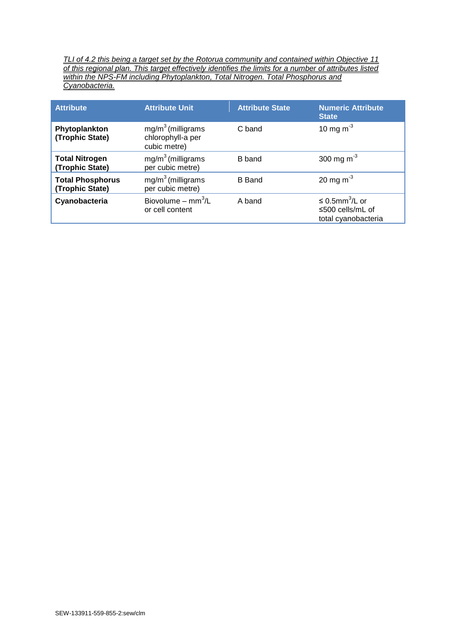*TLI of 4.2 this being a target set by the Rotorua community and contained within Objective 11 of this regional plan. This target effectively identifies the limits for a number of attributes listed within the NPS-FM including Phytoplankton, Total Nitrogen. Total Phosphorus and Cyanobacteria.*

| <b>Attribute</b>                           | <b>Attribute Unit</b>                                    | <b>Attribute State</b> | <b>Numeric Attribute</b><br><b>State</b>                                   |
|--------------------------------------------|----------------------------------------------------------|------------------------|----------------------------------------------------------------------------|
| Phytoplankton<br>(Trophic State)           | $mg/m3$ (milligrams<br>chlorophyll-a per<br>cubic metre) | C band                 | 10 mg m <sup>-3</sup>                                                      |
| <b>Total Nitrogen</b><br>(Trophic State)   | $mg/m3$ (milligrams<br>per cubic metre)                  | B band                 | 300 mg m <sup>-3</sup>                                                     |
| <b>Total Phosphorus</b><br>(Trophic State) | $mg/m3$ (milligrams<br>per cubic metre)                  | <b>B</b> Band          | 20 mg m <sup>-3</sup>                                                      |
| Cyanobacteria                              | Biovolume – $mm^3/L$<br>or cell content                  | A band                 | $\leq$ 0.5mm <sup>3</sup> /L or<br>≤500 cells/mL of<br>total cyanobacteria |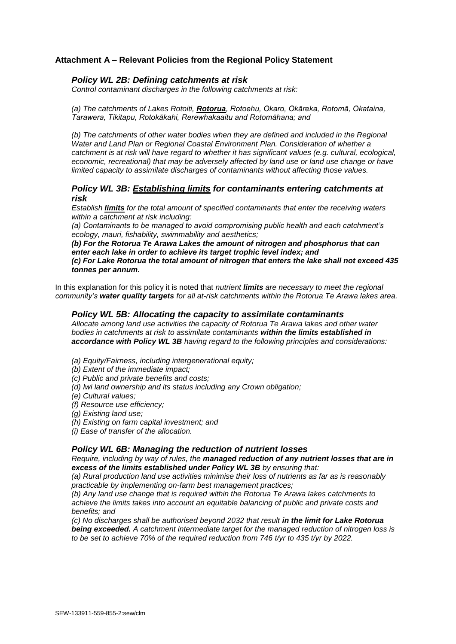## **Attachment A – Relevant Policies from the Regional Policy Statement**

#### *Policy WL 2B: Defining catchments at risk*

*Control contaminant discharges in the following catchments at risk:* 

*(a) The catchments of Lakes Rotoiti, Rotorua, Rotoehu, Ōkaro, Ōkāreka, Rotomā, Ōkataina, Tarawera, Tikitapu, Rotokākahi, Rerewhakaaitu and Rotomāhana; and* 

(b) The catchments of other water bodies when they are defined and included in the Regional *Water and Land Plan or Regional Coastal Environment Plan. Consideration of whether a catchment is at risk will have regard to whether it has significant values (e.g. cultural, ecological, economic, recreational) that may be adversely affected by land use or land use change or have limited capacity to assimilate discharges of contaminants without affecting those values.*

#### *Policy WL 3B: Establishing limits for contaminants entering catchments at risk*

*Establish limits for the total amount of specified contaminants that enter the receiving waters within a catchment at risk including:* 

*(a) Contaminants to be managed to avoid compromising public health and each catchment's ecology, mauri, fishability, swimmability and aesthetics;* 

*(b) For the Rotorua Te Arawa Lakes the amount of nitrogen and phosphorus that can enter each lake in order to achieve its target trophic level index; and*

*(c) For Lake Rotorua the total amount of nitrogen that enters the lake shall not exceed 435 tonnes per annum.*

In this explanation for this policy it is noted that *nutrient limits are necessary to meet the regional community's water quality targets for all at-risk catchments within the Rotorua Te Arawa lakes area.*

#### *Policy WL 5B: Allocating the capacity to assimilate contaminants*

*Allocate among land use activities the capacity of Rotorua Te Arawa lakes and other water bodies in catchments at risk to assimilate contaminants within the limits established in accordance with Policy WL 3B having regard to the following principles and considerations:* 

- *(a) Equity/Fairness, including intergenerational equity;*
- *(b) Extent of the immediate impact;*
- *(c) Public and private benefits and costs;*
- *(d) Iwi land ownership and its status including any Crown obligation;*
- *(e) Cultural values;*
- *(f) Resource use efficiency;*
- *(g) Existing land use;*
- *(h) Existing on farm capital investment; and*
- *(i) Ease of transfer of the allocation.*

#### *Policy WL 6B: Managing the reduction of nutrient losses*

*Require, including by way of rules, the managed reduction of any nutrient losses that are in excess of the limits established under Policy WL 3B by ensuring that:* 

*(a) Rural production land use activities minimise their loss of nutrients as far as is reasonably practicable by implementing on-farm best management practices;* 

*(b) Any land use change that is required within the Rotorua Te Arawa lakes catchments to achieve the limits takes into account an equitable balancing of public and private costs and benefits; and* 

*(c) No discharges shall be authorised beyond 2032 that result in the limit for Lake Rotorua being exceeded. A catchment intermediate target for the managed reduction of nitrogen loss is to be set to achieve 70% of the required reduction from 746 t/yr to 435 t/yr by 2022.*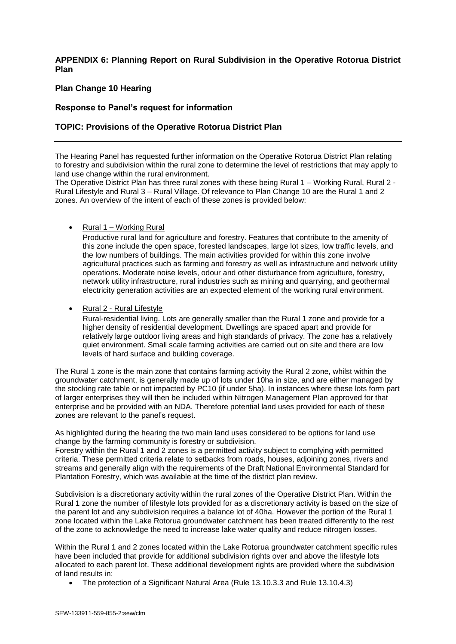## **APPENDIX 6: Planning Report on Rural Subdivision in the Operative Rotorua District Plan**

## **Plan Change 10 Hearing**

#### **Response to Panel's request for information**

#### **TOPIC: Provisions of the Operative Rotorua District Plan**

The Hearing Panel has requested further information on the Operative Rotorua District Plan relating to forestry and subdivision within the rural zone to determine the level of restrictions that may apply to land use change within the rural environment.

The Operative District Plan has three rural zones with these being Rural 1 – Working Rural, Rural 2 - Rural Lifestyle and Rural 3 – Rural Village. Of relevance to Plan Change 10 are the Rural 1 and 2 zones. An overview of the intent of each of these zones is provided below:

Rural 1 – Working Rural

Productive rural land for agriculture and forestry. Features that contribute to the amenity of this zone include the open space, forested landscapes, large lot sizes, low traffic levels, and the low numbers of buildings. The main activities provided for within this zone involve agricultural practices such as farming and forestry as well as infrastructure and network utility operations. Moderate noise levels, odour and other disturbance from agriculture, forestry, network utility infrastructure, rural industries such as mining and quarrying, and geothermal electricity generation activities are an expected element of the working rural environment.

Rural 2 - Rural Lifestyle

Rural-residential living. Lots are generally smaller than the Rural 1 zone and provide for a higher density of residential development. Dwellings are spaced apart and provide for relatively large outdoor living areas and high standards of privacy. The zone has a relatively quiet environment. Small scale farming activities are carried out on site and there are low levels of hard surface and building coverage.

The Rural 1 zone is the main zone that contains farming activity the Rural 2 zone, whilst within the groundwater catchment, is generally made up of lots under 10ha in size, and are either managed by the stocking rate table or not impacted by PC10 (if under 5ha). In instances where these lots form part of larger enterprises they will then be included within Nitrogen Management Plan approved for that enterprise and be provided with an NDA. Therefore potential land uses provided for each of these zones are relevant to the panel's request.

As highlighted during the hearing the two main land uses considered to be options for land use change by the farming community is forestry or subdivision.

Forestry within the Rural 1 and 2 zones is a permitted activity subject to complying with permitted criteria. These permitted criteria relate to setbacks from roads, houses, adjoining zones, rivers and streams and generally align with the requirements of the Draft National Environmental Standard for Plantation Forestry, which was available at the time of the district plan review.

Subdivision is a discretionary activity within the rural zones of the Operative District Plan. Within the Rural 1 zone the number of lifestyle lots provided for as a discretionary activity is based on the size of the parent lot and any subdivision requires a balance lot of 40ha. However the portion of the Rural 1 zone located within the Lake Rotorua groundwater catchment has been treated differently to the rest of the zone to acknowledge the need to increase lake water quality and reduce nitrogen losses.

Within the Rural 1 and 2 zones located within the Lake Rotorua groundwater catchment specific rules have been included that provide for additional subdivision rights over and above the lifestyle lots allocated to each parent lot. These additional development rights are provided where the subdivision of land results in:

The protection of a Significant Natural Area (Rule 13.10.3.3 and Rule 13.10.4.3)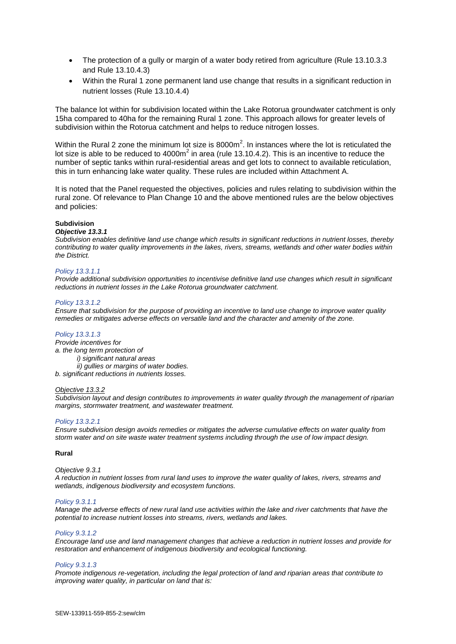- The protection of a gully or margin of a water body retired from agriculture (Rule 13.10.3.3 and Rule 13.10.4.3)
- Within the Rural 1 zone permanent land use change that results in a significant reduction in nutrient losses (Rule 13.10.4.4)

The balance lot within for subdivision located within the Lake Rotorua groundwater catchment is only 15ha compared to 40ha for the remaining Rural 1 zone. This approach allows for greater levels of subdivision within the Rotorua catchment and helps to reduce nitrogen losses.

Within the Rural 2 zone the minimum lot size is 8000m<sup>2</sup>. In instances where the lot is reticulated the lot size is able to be reduced to 4000m<sup>2</sup> in area (rule 13.10.4.2). This is an incentive to reduce the number of septic tanks within rural-residential areas and get lots to connect to available reticulation, this in turn enhancing lake water quality. These rules are included within Attachment A.

It is noted that the Panel requested the objectives, policies and rules relating to subdivision within the rural zone. Of relevance to Plan Change 10 and the above mentioned rules are the below objectives and policies:

#### **Subdivision**

#### *Objective 13.3.1*

*Subdivision enables definitive land use change which results in significant reductions in nutrient losses, thereby contributing to water quality improvements in the lakes, rivers, streams, wetlands and other water bodies within the District.*

#### *Policy 13.3.1.1*

*Provide additional subdivision opportunities to incentivise definitive land use changes which result in significant reductions in nutrient losses in the Lake Rotorua groundwater catchment.*

#### *Policy 13.3.1.2*

*Ensure that subdivision for the purpose of providing an incentive to land use change to improve water quality remedies or mitigates adverse effects on versatile land and the character and amenity of the zone.*

#### *Policy 13.3.1.3*

*Provide incentives for a. the long term protection of i) significant natural areas ii) gullies or margins of water bodies.*

*b. significant reductions in nutrients losses.*

#### *Objective 13.3.2*

*Subdivision layout and design contributes to improvements in water quality through the management of riparian margins, stormwater treatment, and wastewater treatment.*

#### *Policy 13.3.2.1*

*Ensure subdivision design avoids remedies or mitigates the adverse cumulative effects on water quality from storm water and on site waste water treatment systems including through the use of low impact design.*

#### **Rural**

#### *Objective 9.3.1*

*A reduction in nutrient losses from rural land uses to improve the water quality of lakes, rivers, streams and wetlands, indigenous biodiversity and ecosystem functions.*

#### *Policy 9.3.1.1*

*Manage the adverse effects of new rural land use activities within the lake and river catchments that have the potential to increase nutrient losses into streams, rivers, wetlands and lakes.*

#### *Policy 9.3.1.2*

*Encourage land use and land management changes that achieve a reduction in nutrient losses and provide for restoration and enhancement of indigenous biodiversity and ecological functioning.*

#### *Policy 9.3.1.3*

*Promote indigenous re-vegetation, including the legal protection of land and riparian areas that contribute to improving water quality, in particular on land that is:*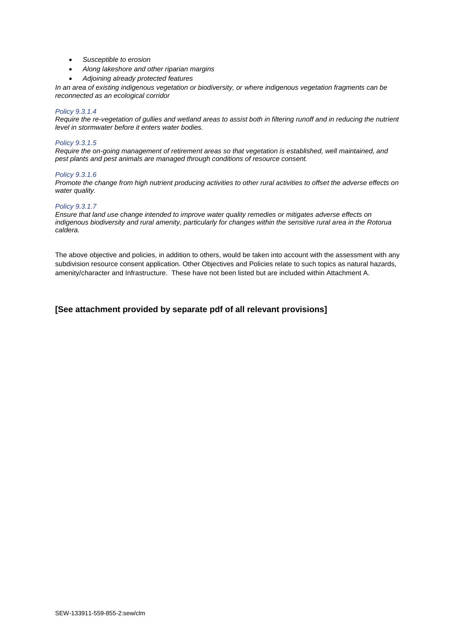- *Susceptible to erosion*
- *Along lakeshore and other riparian margins*
- *Adjoining already protected features*

*In an area of existing indigenous vegetation or biodiversity, or where indigenous vegetation fragments can be reconnected as an ecological corridor*

#### *Policy 9.3.1.4*

*Require the re-vegetation of gullies and wetland areas to assist both in filtering runoff and in reducing the nutrient level in stormwater before it enters water bodies.*

#### *Policy 9.3.1.5*

*Require the on-going management of retirement areas so that vegetation is established, well maintained, and pest plants and pest animals are managed through conditions of resource consent.*

#### *Policy 9.3.1.6*

*Promote the change from high nutrient producing activities to other rural activities to offset the adverse effects on water quality.*

#### *Policy 9.3.1.7*

*Ensure that land use change intended to improve water quality remedies or mitigates adverse effects on indigenous biodiversity and rural amenity, particularly for changes within the sensitive rural area in the Rotorua caldera.*

The above objective and policies, in addition to others, would be taken into account with the assessment with any subdivision resource consent application. Other Objectives and Policies relate to such topics as natural hazards, amenity/character and Infrastructure. These have not been listed but are included within Attachment A.

#### **[See attachment provided by separate pdf of all relevant provisions]**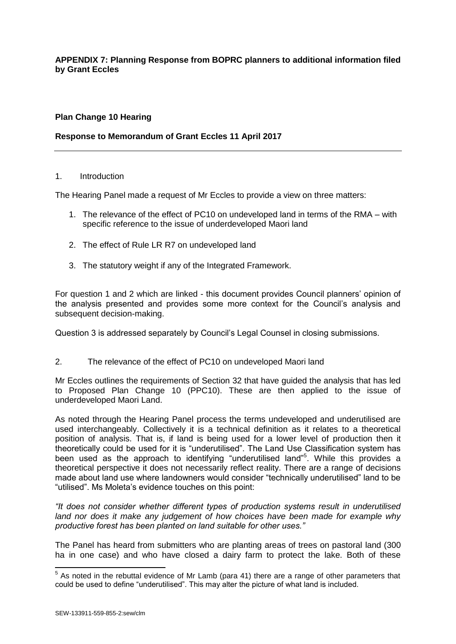## **APPENDIX 7: Planning Response from BOPRC planners to additional information filed by Grant Eccles**

## **Plan Change 10 Hearing**

## **Response to Memorandum of Grant Eccles 11 April 2017**

#### 1. Introduction

The Hearing Panel made a request of Mr Eccles to provide a view on three matters:

- 1. The relevance of the effect of PC10 on undeveloped land in terms of the RMA with specific reference to the issue of underdeveloped Maori land
- 2. The effect of Rule LR R7 on undeveloped land
- 3. The statutory weight if any of the Integrated Framework.

For question 1 and 2 which are linked - this document provides Council planners' opinion of the analysis presented and provides some more context for the Council's analysis and subsequent decision-making.

Question 3 is addressed separately by Council's Legal Counsel in closing submissions.

2. The relevance of the effect of PC10 on undeveloped Maori land

Mr Eccles outlines the requirements of Section 32 that have guided the analysis that has led to Proposed Plan Change 10 (PPC10). These are then applied to the issue of underdeveloped Maori Land.

As noted through the Hearing Panel process the terms undeveloped and underutilised are used interchangeably. Collectively it is a technical definition as it relates to a theoretical position of analysis. That is, if land is being used for a lower level of production then it theoretically could be used for it is "underutilised". The Land Use Classification system has been used as the approach to identifying "underutilised land"<sup>5</sup>. While this provides a theoretical perspective it does not necessarily reflect reality. There are a range of decisions made about land use where landowners would consider "technically underutilised" land to be "utilised". Ms Moleta's evidence touches on this point:

*"It does not consider whether different types of production systems result in underutilised land nor does it make any judgement of how choices have been made for example why productive forest has been planted on land suitable for other uses."*

The Panel has heard from submitters who are planting areas of trees on pastoral land (300 ha in one case) and who have closed a dairy farm to protect the lake. Both of these

 5 As noted in the rebuttal evidence of Mr Lamb (para 41) there are a range of other parameters that could be used to define "underutilised". This may alter the picture of what land is included.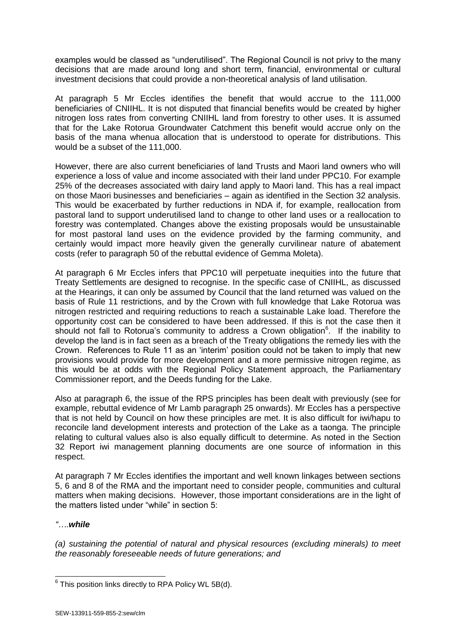examples would be classed as "underutilised". The Regional Council is not privy to the many decisions that are made around long and short term, financial, environmental or cultural investment decisions that could provide a non-theoretical analysis of land utilisation.

At paragraph 5 Mr Eccles identifies the benefit that would accrue to the 111,000 beneficiaries of CNIIHL. It is not disputed that financial benefits would be created by higher nitrogen loss rates from converting CNIIHL land from forestry to other uses. It is assumed that for the Lake Rotorua Groundwater Catchment this benefit would accrue only on the basis of the mana whenua allocation that is understood to operate for distributions. This would be a subset of the 111,000.

However, there are also current beneficiaries of land Trusts and Maori land owners who will experience a loss of value and income associated with their land under PPC10. For example 25% of the decreases associated with dairy land apply to Maori land. This has a real impact on those Maori businesses and beneficiaries – again as identified in the Section 32 analysis. This would be exacerbated by further reductions in NDA if, for example, reallocation from pastoral land to support underutilised land to change to other land uses or a reallocation to forestry was contemplated. Changes above the existing proposals would be unsustainable for most pastoral land uses on the evidence provided by the farming community, and certainly would impact more heavily given the generally curvilinear nature of abatement costs (refer to paragraph 50 of the rebuttal evidence of Gemma Moleta).

At paragraph 6 Mr Eccles infers that PPC10 will perpetuate inequities into the future that Treaty Settlements are designed to recognise. In the specific case of CNIIHL, as discussed at the Hearings, it can only be assumed by Council that the land returned was valued on the basis of Rule 11 restrictions, and by the Crown with full knowledge that Lake Rotorua was nitrogen restricted and requiring reductions to reach a sustainable Lake load. Therefore the opportunity cost can be considered to have been addressed. If this is not the case then it should not fall to Rotorua's community to address a Crown obligation<sup>6</sup>. If the inability to develop the land is in fact seen as a breach of the Treaty obligations the remedy lies with the Crown. References to Rule 11 as an 'interim' position could not be taken to imply that new provisions would provide for more development and a more permissive nitrogen regime, as this would be at odds with the Regional Policy Statement approach, the Parliamentary Commissioner report, and the Deeds funding for the Lake.

Also at paragraph 6, the issue of the RPS principles has been dealt with previously (see for example, rebuttal evidence of Mr Lamb paragraph 25 onwards). Mr Eccles has a perspective that is not held by Council on how these principles are met. It is also difficult for iwi/hapu to reconcile land development interests and protection of the Lake as a taonga. The principle relating to cultural values also is also equally difficult to determine. As noted in the Section 32 Report iwi management planning documents are one source of information in this respect.

At paragraph 7 Mr Eccles identifies the important and well known linkages between sections 5, 6 and 8 of the RMA and the important need to consider people, communities and cultural matters when making decisions. However, those important considerations are in the light of the matters listed under "while" in section 5:

## *"….while*

*(a) sustaining the potential of natural and physical resources (excluding minerals) to meet the reasonably foreseeable needs of future generations; and*

 6 This position links directly to RPA Policy WL 5B(d).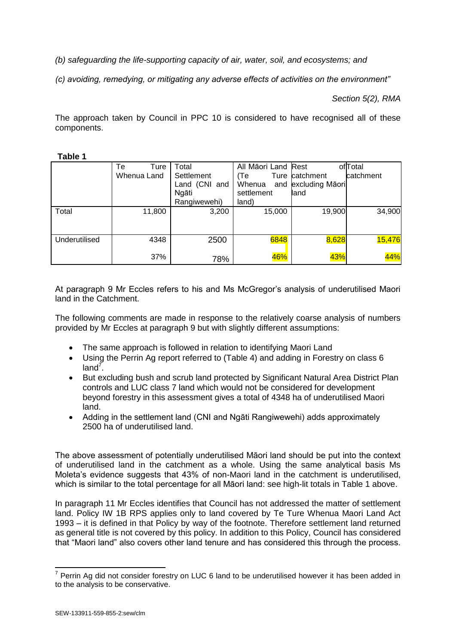*(b) safeguarding the life-supporting capacity of air, water, soil, and ecosystems; and*

*(c) avoiding, remedying, or mitigating any adverse effects of activities on the environment"*

*Section 5(2), RMA*

The approach taken by Council in PPC 10 is considered to have recognised all of these components.

| ۱<br>U<br><br>.,<br>× |  |
|-----------------------|--|
|-----------------------|--|

|               | Тe<br>Ture<br>Whenua Land | Total<br>Settlement<br>Land (CNI and<br>Ngāti<br>Rangiwewehi) | All Māori Land Rest<br>(Te<br>Whenua<br>settlement<br>land) | Ture catchment<br>and excluding Maori<br>land | of Total<br>catchment |
|---------------|---------------------------|---------------------------------------------------------------|-------------------------------------------------------------|-----------------------------------------------|-----------------------|
| Total         | 11,800                    | 3,200                                                         | 15,000                                                      | 19,900                                        | 34,900                |
| Underutilised | 4348                      | 2500                                                          | 6848                                                        | 8,628                                         | 15,476                |
|               | 37%                       | 78%                                                           | 46%                                                         | 43%                                           | 44%                   |

At paragraph 9 Mr Eccles refers to his and Ms McGregor's analysis of underutilised Maori land in the Catchment.

The following comments are made in response to the relatively coarse analysis of numbers provided by Mr Eccles at paragraph 9 but with slightly different assumptions:

- The same approach is followed in relation to identifying Maori Land
- Using the Perrin Ag report referred to (Table 4) and adding in Forestry on class 6  $land^7$ .
- But excluding bush and scrub land protected by Significant Natural Area District Plan controls and LUC class 7 land which would not be considered for development beyond forestry in this assessment gives a total of 4348 ha of underutilised Maori land.
- Adding in the settlement land (CNI and Ngāti Rangiwewehi) adds approximately 2500 ha of underutilised land.

The above assessment of potentially underutilised Māori land should be put into the context of underutilised land in the catchment as a whole. Using the same analytical basis Ms Moleta's evidence suggests that 43% of non-Maori land in the catchment is underutilised, which is similar to the total percentage for all Māori land: see high-lit totals in Table 1 above.

In paragraph 11 Mr Eccles identifies that Council has not addressed the matter of settlement land. Policy IW 1B RPS applies only to land covered by Te Ture Whenua Maori Land Act 1993 – it is defined in that Policy by way of the footnote. Therefore settlement land returned as general title is not covered by this policy. In addition to this Policy, Council has considered that "Maori land" also covers other land tenure and has considered this through the process.

 7 Perrin Ag did not consider forestry on LUC 6 land to be underutilised however it has been added in to the analysis to be conservative.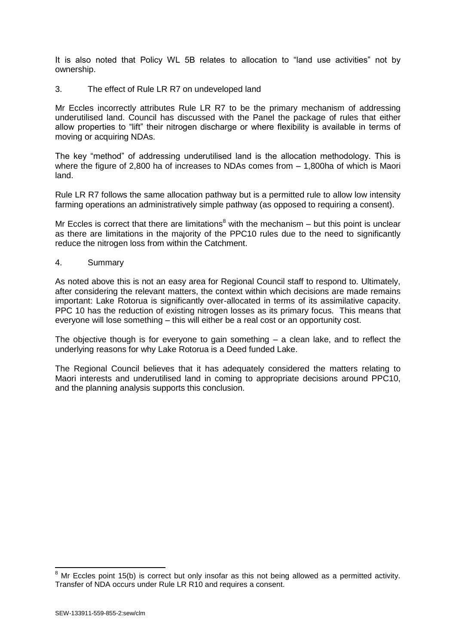It is also noted that Policy WL 5B relates to allocation to "land use activities" not by ownership.

3. The effect of Rule LR R7 on undeveloped land

Mr Eccles incorrectly attributes Rule LR R7 to be the primary mechanism of addressing underutilised land. Council has discussed with the Panel the package of rules that either allow properties to "lift" their nitrogen discharge or where flexibility is available in terms of moving or acquiring NDAs.

The key "method" of addressing underutilised land is the allocation methodology. This is where the figure of 2,800 ha of increases to NDAs comes from – 1,800ha of which is Maori land.

Rule LR R7 follows the same allocation pathway but is a permitted rule to allow low intensity farming operations an administratively simple pathway (as opposed to requiring a consent).

Mr Eccles is correct that there are limitations<sup>8</sup> with the mechanism  $-$  but this point is unclear as there are limitations in the majority of the PPC10 rules due to the need to significantly reduce the nitrogen loss from within the Catchment.

4. Summary

As noted above this is not an easy area for Regional Council staff to respond to. Ultimately, after considering the relevant matters, the context within which decisions are made remains important: Lake Rotorua is significantly over-allocated in terms of its assimilative capacity. PPC 10 has the reduction of existing nitrogen losses as its primary focus. This means that everyone will lose something – this will either be a real cost or an opportunity cost.

The objective though is for everyone to gain something  $-$  a clean lake, and to reflect the underlying reasons for why Lake Rotorua is a Deed funded Lake.

The Regional Council believes that it has adequately considered the matters relating to Maori interests and underutilised land in coming to appropriate decisions around PPC10, and the planning analysis supports this conclusion.

 $8$  Mr Eccles point 15(b) is correct but only insofar as this not being allowed as a permitted activity. Transfer of NDA occurs under Rule LR R10 and requires a consent.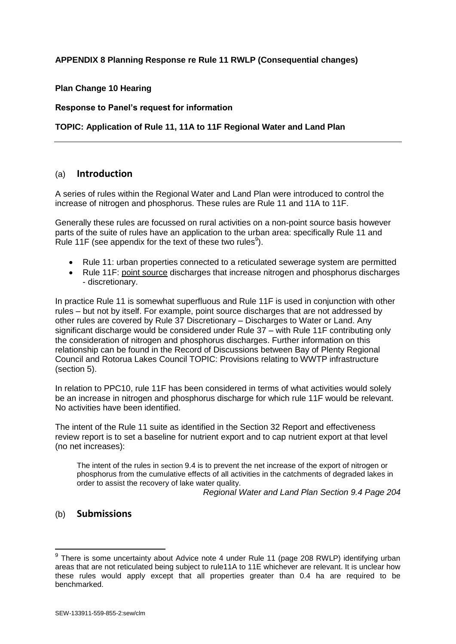## **APPENDIX 8 Planning Response re Rule 11 RWLP (Consequential changes)**

## **Plan Change 10 Hearing**

#### **Response to Panel's request for information**

## **TOPIC: Application of Rule 11, 11A to 11F Regional Water and Land Plan**

## (a) **Introduction**

A series of rules within the Regional Water and Land Plan were introduced to control the increase of nitrogen and phosphorus. These rules are Rule 11 and 11A to 11F.

Generally these rules are focussed on rural activities on a non-point source basis however parts of the suite of rules have an application to the urban area: specifically Rule 11 and Rule 11F (see appendix for the text of these two rules<sup>9</sup>).

- Rule 11: urban properties connected to a reticulated sewerage system are permitted
- Rule 11F: point source discharges that increase nitrogen and phosphorus discharges - discretionary.

In practice Rule 11 is somewhat superfluous and Rule 11F is used in conjunction with other rules – but not by itself. For example, point source discharges that are not addressed by other rules are covered by Rule 37 Discretionary – Discharges to Water or Land. Any significant discharge would be considered under Rule 37 – with Rule 11F contributing only the consideration of nitrogen and phosphorus discharges. Further information on this relationship can be found in the Record of Discussions between Bay of Plenty Regional Council and Rotorua Lakes Council TOPIC: Provisions relating to WWTP infrastructure (section 5).

In relation to PPC10, rule 11F has been considered in terms of what activities would solely be an increase in nitrogen and phosphorus discharge for which rule 11F would be relevant. No activities have been identified.

The intent of the Rule 11 suite as identified in the Section 32 Report and effectiveness review report is to set a baseline for nutrient export and to cap nutrient export at that level (no net increases):

The intent of the rules in section 9.4 is to prevent the net increase of the export of nitrogen or phosphorus from the cumulative effects of all activities in the catchments of degraded lakes in order to assist the recovery of lake water quality.

*Regional Water and Land Plan Section 9.4 Page 204*

## (b) **Submissions**

 $9$  There is some uncertainty about Advice note 4 under Rule 11 (page 208 RWLP) identifying urban areas that are not reticulated being subject to rule11A to 11E whichever are relevant. It is unclear how these rules would apply except that all properties greater than 0.4 ha are required to be benchmarked.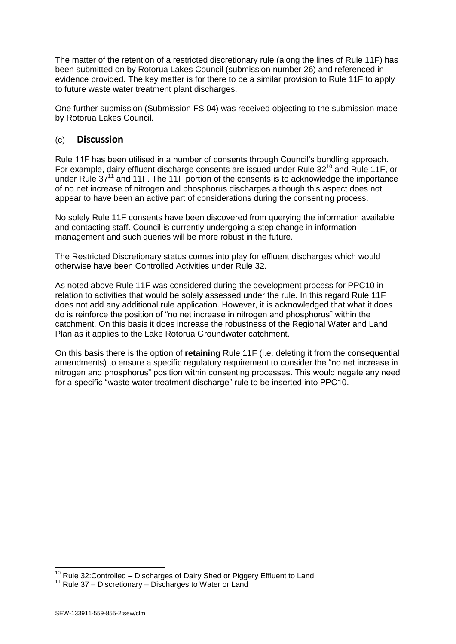The matter of the retention of a restricted discretionary rule (along the lines of Rule 11F) has been submitted on by Rotorua Lakes Council (submission number 26) and referenced in evidence provided. The key matter is for there to be a similar provision to Rule 11F to apply to future waste water treatment plant discharges.

One further submission (Submission FS 04) was received objecting to the submission made by Rotorua Lakes Council.

## (c) **Discussion**

Rule 11F has been utilised in a number of consents through Council's bundling approach. For example, dairy effluent discharge consents are issued under Rule 32<sup>10</sup> and Rule 11F, or under Rule 37<sup>11</sup> and 11F. The 11F portion of the consents is to acknowledge the importance of no net increase of nitrogen and phosphorus discharges although this aspect does not appear to have been an active part of considerations during the consenting process.

No solely Rule 11F consents have been discovered from querying the information available and contacting staff. Council is currently undergoing a step change in information management and such queries will be more robust in the future.

The Restricted Discretionary status comes into play for effluent discharges which would otherwise have been Controlled Activities under Rule 32.

As noted above Rule 11F was considered during the development process for PPC10 in relation to activities that would be solely assessed under the rule. In this regard Rule 11F does not add any additional rule application. However, it is acknowledged that what it does do is reinforce the position of "no net increase in nitrogen and phosphorus" within the catchment. On this basis it does increase the robustness of the Regional Water and Land Plan as it applies to the Lake Rotorua Groundwater catchment.

On this basis there is the option of **retaining** Rule 11F (i.e. deleting it from the consequential amendments) to ensure a specific regulatory requirement to consider the "no net increase in nitrogen and phosphorus" position within consenting processes. This would negate any need for a specific "waste water treatment discharge" rule to be inserted into PPC10.

 $10$  Rule 32: Controlled – Discharges of Dairy Shed or Piggery Effluent to Land

 $11$  Rule 37 – Discretionary – Discharges to Water or Land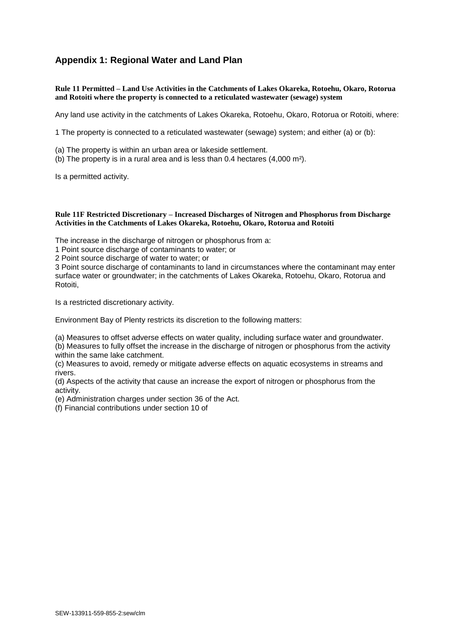# **Appendix 1: Regional Water and Land Plan**

**Rule 11 Permitted – Land Use Activities in the Catchments of Lakes Okareka, Rotoehu, Okaro, Rotorua and Rotoiti where the property is connected to a reticulated wastewater (sewage) system**

Any land use activity in the catchments of Lakes Okareka, Rotoehu, Okaro, Rotorua or Rotoiti, where:

1 The property is connected to a reticulated wastewater (sewage) system; and either (a) or (b):

- (a) The property is within an urban area or lakeside settlement.
- (b) The property is in a rural area and is less than 0.4 hectares (4,000 m²).

Is a permitted activity.

#### **Rule 11F Restricted Discretionary – Increased Discharges of Nitrogen and Phosphorus from Discharge Activities in the Catchments of Lakes Okareka, Rotoehu, Okaro, Rotorua and Rotoiti**

The increase in the discharge of nitrogen or phosphorus from a:

1 Point source discharge of contaminants to water; or

2 Point source discharge of water to water; or

3 Point source discharge of contaminants to land in circumstances where the contaminant may enter surface water or groundwater; in the catchments of Lakes Okareka, Rotoehu, Okaro, Rotorua and Rotoiti,

Is a restricted discretionary activity.

Environment Bay of Plenty restricts its discretion to the following matters:

(a) Measures to offset adverse effects on water quality, including surface water and groundwater.

(b) Measures to fully offset the increase in the discharge of nitrogen or phosphorus from the activity within the same lake catchment.

(c) Measures to avoid, remedy or mitigate adverse effects on aquatic ecosystems in streams and rivers.

(d) Aspects of the activity that cause an increase the export of nitrogen or phosphorus from the activity.

(e) Administration charges under section 36 of the Act.

(f) Financial contributions under section 10 of